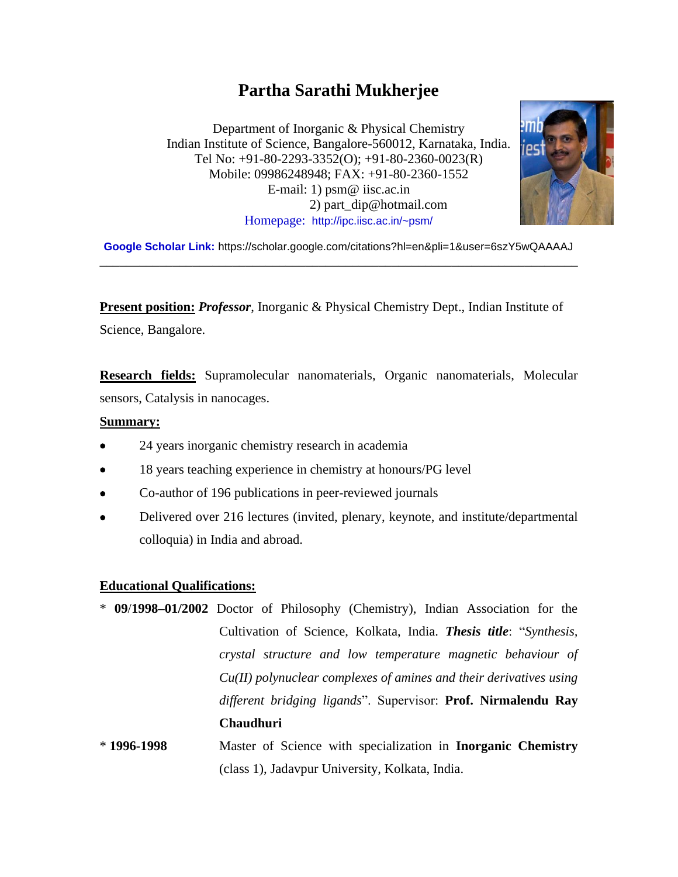# **Partha Sarathi Mukherjee**

Department of Inorganic & Physical Chemistry Indian Institute of Science, Bangalore-560012, Karnataka, India. Tel No: +91-80-2293-3352(O); +91-80-2360-0023(R) Mobile: 09986248948; FAX: +91-80-2360-1552 E-mail: 1) psm@ iisc.ac.in 2) part\_dip@hotmail.com Homepage: <http://ipc.iisc.ac.in/~psm/>



**Google Scholar Link:** https://scholar.google.com/citations?hl=en&pli=1&user=6szY5wQAAAAJ \_\_\_\_\_\_\_\_\_\_\_\_\_\_\_\_\_\_\_\_\_\_\_\_\_\_\_\_\_\_\_\_\_\_\_\_\_\_\_\_\_\_\_\_\_\_\_\_\_\_\_\_\_\_\_\_\_\_\_\_\_\_\_\_\_\_\_\_\_\_\_\_

**Present position:** *Professor*, Inorganic & Physical Chemistry Dept., Indian Institute of Science, Bangalore.

**Research fields:** Supramolecular nanomaterials, Organic nanomaterials, Molecular sensors, Catalysis in nanocages.

#### **Summary:**

- 24 years inorganic chemistry research in academia
- 18 years teaching experience in chemistry at honours/PG level
- Co-author of 196 publications in peer-reviewed journals
- Delivered over 216 lectures (invited, plenary, keynote, and institute/departmental colloquia) in India and abroad.

#### **Educational Qualifications:**

- \* **09**/**1998–01/2002** Doctor of Philosophy (Chemistry), Indian Association for the Cultivation of Science, Kolkata, India. *Thesis title*: "*Synthesis, crystal structure and low temperature magnetic behaviour of Cu(II) polynuclear complexes of amines and their derivatives using different bridging ligands*". Supervisor: **Prof. Nirmalendu Ray Chaudhuri**
- \* **1996-1998** Master of Science with specialization in **Inorganic Chemistry** (class 1), Jadavpur University, Kolkata, India.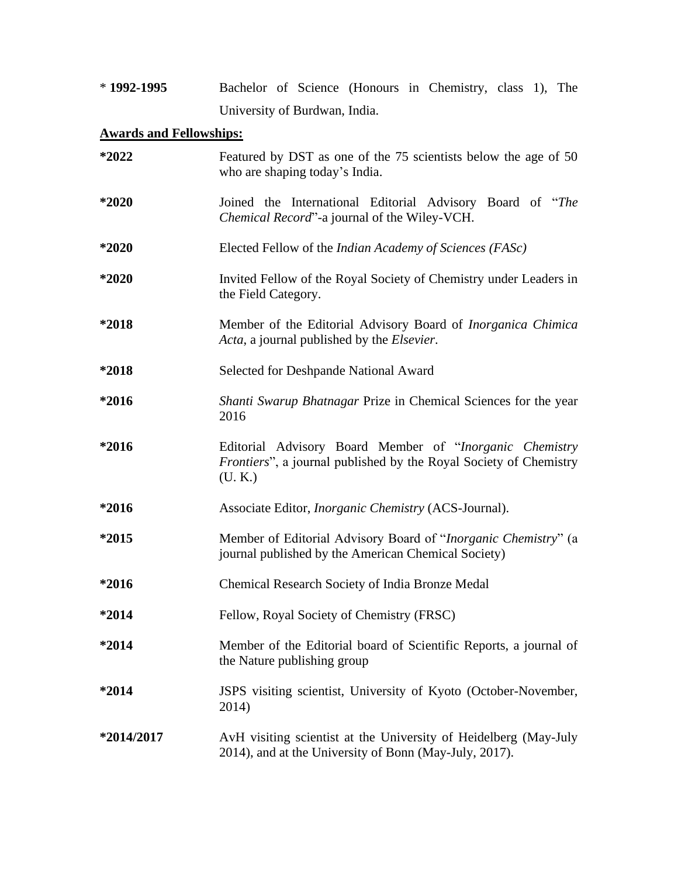| $*1992-1995$                   | Bachelor of Science (Honours in Chemistry, class 1), The                                                                                        |  |
|--------------------------------|-------------------------------------------------------------------------------------------------------------------------------------------------|--|
|                                | University of Burdwan, India.                                                                                                                   |  |
| <b>Awards and Fellowships:</b> |                                                                                                                                                 |  |
| *2022                          | Featured by DST as one of the 75 scientists below the age of 50<br>who are shaping today's India.                                               |  |
| *2020                          | Joined the International Editorial Advisory Board of "The<br>Chemical Record"-a journal of the Wiley-VCH.                                       |  |
| *2020                          | Elected Fellow of the Indian Academy of Sciences (FASc)                                                                                         |  |
| *2020                          | Invited Fellow of the Royal Society of Chemistry under Leaders in<br>the Field Category.                                                        |  |
| *2018                          | Member of the Editorial Advisory Board of <i>Inorganica Chimica</i><br>Acta, a journal published by the <i>Elsevier</i> .                       |  |
| *2018                          | Selected for Deshpande National Award                                                                                                           |  |
| *2016                          | Shanti Swarup Bhatnagar Prize in Chemical Sciences for the year<br>2016                                                                         |  |
| *2016                          | Editorial Advisory Board Member of "Inorganic Chemistry<br><i>Frontiers</i> ", a journal published by the Royal Society of Chemistry<br>(U, K.) |  |
| $*2016$                        | Associate Editor, <i>Inorganic Chemistry</i> (ACS-Journal).                                                                                     |  |
| *2015                          | Member of Editorial Advisory Board of "Inorganic Chemistry" (a<br>journal published by the American Chemical Society)                           |  |
| *2016                          | Chemical Research Society of India Bronze Medal                                                                                                 |  |
| *2014                          | Fellow, Royal Society of Chemistry (FRSC)                                                                                                       |  |
| *2014                          | Member of the Editorial board of Scientific Reports, a journal of<br>the Nature publishing group                                                |  |
| *2014                          | JSPS visiting scientist, University of Kyoto (October-November,<br>2014)                                                                        |  |
| *2014/2017                     | AvH visiting scientist at the University of Heidelberg (May-July<br>2014), and at the University of Bonn (May-July, 2017).                      |  |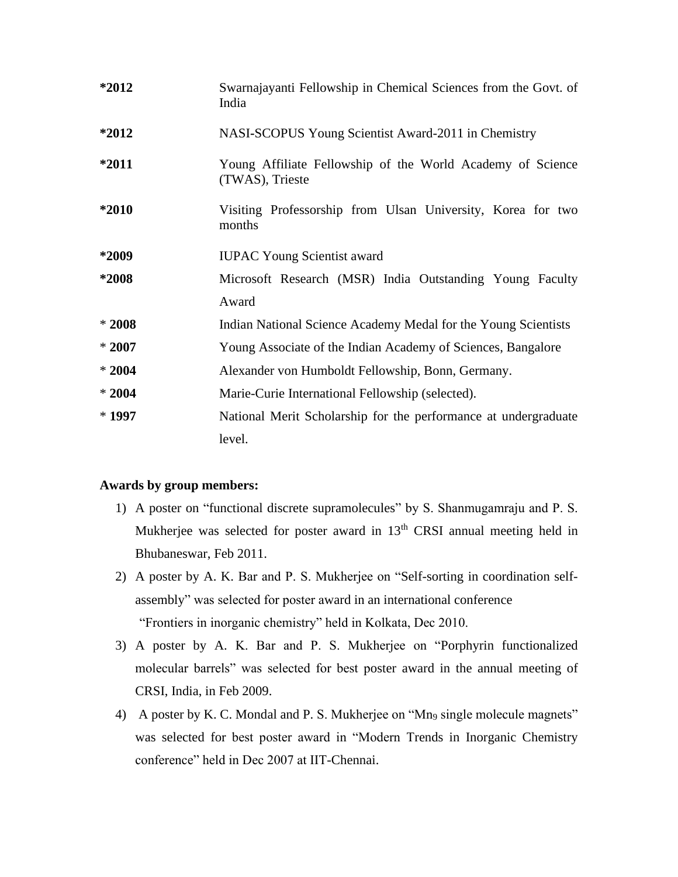| *2012   | Swarnajayanti Fellowship in Chemical Sciences from the Govt. of<br>India      |
|---------|-------------------------------------------------------------------------------|
| *2012   | NASI-SCOPUS Young Scientist Award-2011 in Chemistry                           |
| *2011   | Young Affiliate Fellowship of the World Academy of Science<br>(TWAS), Trieste |
| *2010   | Visiting Professorship from Ulsan University, Korea for two<br>months         |
| *2009   | <b>IUPAC Young Scientist award</b>                                            |
| *2008   | Microsoft Research (MSR) India Outstanding Young Faculty                      |
|         | Award                                                                         |
| $*2008$ | Indian National Science Academy Medal for the Young Scientists                |
| $*2007$ | Young Associate of the Indian Academy of Sciences, Bangalore                  |
| $*2004$ | Alexander von Humboldt Fellowship, Bonn, Germany.                             |
| $*2004$ | Marie-Curie International Fellowship (selected).                              |
| $*1997$ | National Merit Scholarship for the performance at undergraduate               |
|         | level.                                                                        |

#### **Awards by group members:**

- 1) A poster on "functional discrete supramolecules" by S. Shanmugamraju and P. S. Mukherjee was selected for poster award in 13<sup>th</sup> CRSI annual meeting held in Bhubaneswar, Feb 2011.
- 2) A poster by A. K. Bar and P. S. Mukherjee on "Self-sorting in coordination selfassembly" was selected for poster award in an international conference "Frontiers in inorganic chemistry" held in Kolkata, Dec 2010.
- 3) A poster by A. K. Bar and P. S. Mukherjee on "Porphyrin functionalized molecular barrels" was selected for best poster award in the annual meeting of CRSI, India, in Feb 2009.
- 4) A poster by K. C. Mondal and P. S. Mukherjee on "Mn<sub>9</sub> single molecule magnets" was selected for best poster award in "Modern Trends in Inorganic Chemistry conference" held in Dec 2007 at IIT-Chennai.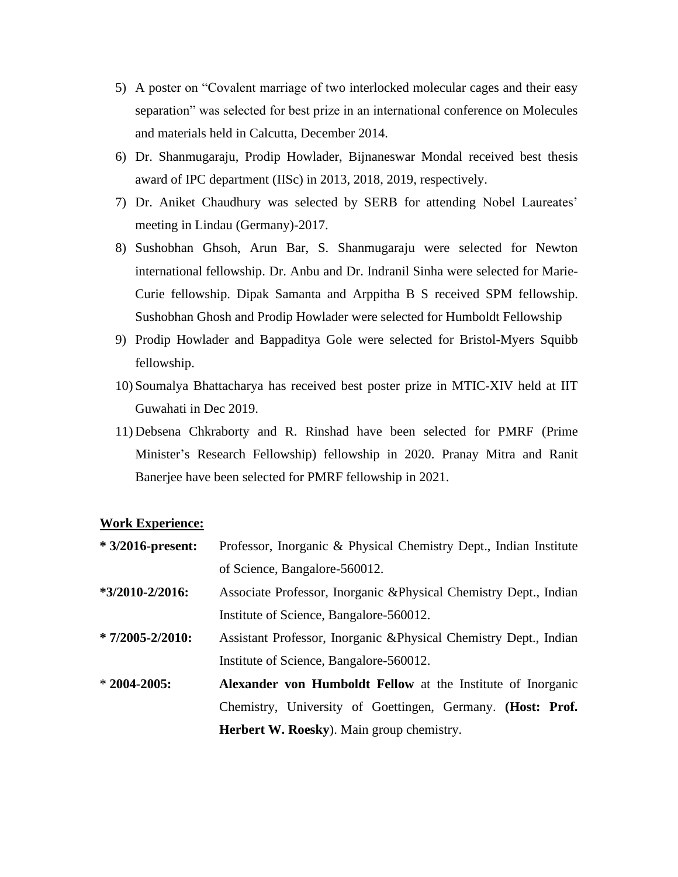- 5) A poster on "Covalent marriage of two interlocked molecular cages and their easy separation" was selected for best prize in an international conference on Molecules and materials held in Calcutta, December 2014.
- 6) Dr. Shanmugaraju, Prodip Howlader, Bijnaneswar Mondal received best thesis award of IPC department (IISc) in 2013, 2018, 2019, respectively.
- 7) Dr. Aniket Chaudhury was selected by SERB for attending Nobel Laureates' meeting in Lindau (Germany)-2017.
- 8) Sushobhan Ghsoh, Arun Bar, S. Shanmugaraju were selected for Newton international fellowship. Dr. Anbu and Dr. Indranil Sinha were selected for Marie-Curie fellowship. Dipak Samanta and Arppitha B S received SPM fellowship. Sushobhan Ghosh and Prodip Howlader were selected for Humboldt Fellowship
- 9) Prodip Howlader and Bappaditya Gole were selected for [Bristol-Myers Squibb](https://www.google.co.in/url?sa=t&rct=j&q=&esrc=s&source=web&cd=1&cad=rja&uact=8&ved=0ahUKEwjSx8qpju7bAhWMvY8KHZtlA_cQFggmMAA&url=https%3A%2F%2Fwww.bms.com%2F&usg=AOvVaw0rhy4pHRp4aTtUsMaEHgJS) fellowship.
- 10) Soumalya Bhattacharya has received best poster prize in MTIC-XIV held at IIT Guwahati in Dec 2019.
- 11) Debsena Chkraborty and R. Rinshad have been selected for PMRF (Prime Minister's Research Fellowship) fellowship in 2020. Pranay Mitra and Ranit Banerjee have been selected for PMRF fellowship in 2021.

#### **Work Experience:**

| $*3/2016$ -present:  | Professor, Inorganic & Physical Chemistry Dept., Indian Institute |  |  |
|----------------------|-------------------------------------------------------------------|--|--|
|                      | of Science, Bangalore-560012.                                     |  |  |
| $*3/2010 - 2/2016$ : | Associate Professor, Inorganic & Physical Chemistry Dept., Indian |  |  |
|                      | Institute of Science, Bangalore-560012.                           |  |  |
| $*7/2005 - 2/2010$ : | Assistant Professor, Inorganic & Physical Chemistry Dept., Indian |  |  |
|                      | Institute of Science, Bangalore-560012.                           |  |  |
| $*2004-2005:$        | Alexander von Humboldt Fellow at the Institute of Inorganic       |  |  |
|                      | Chemistry, University of Goettingen, Germany. (Host: Prof.        |  |  |
|                      | <b>Herbert W. Roesky</b> ). Main group chemistry.                 |  |  |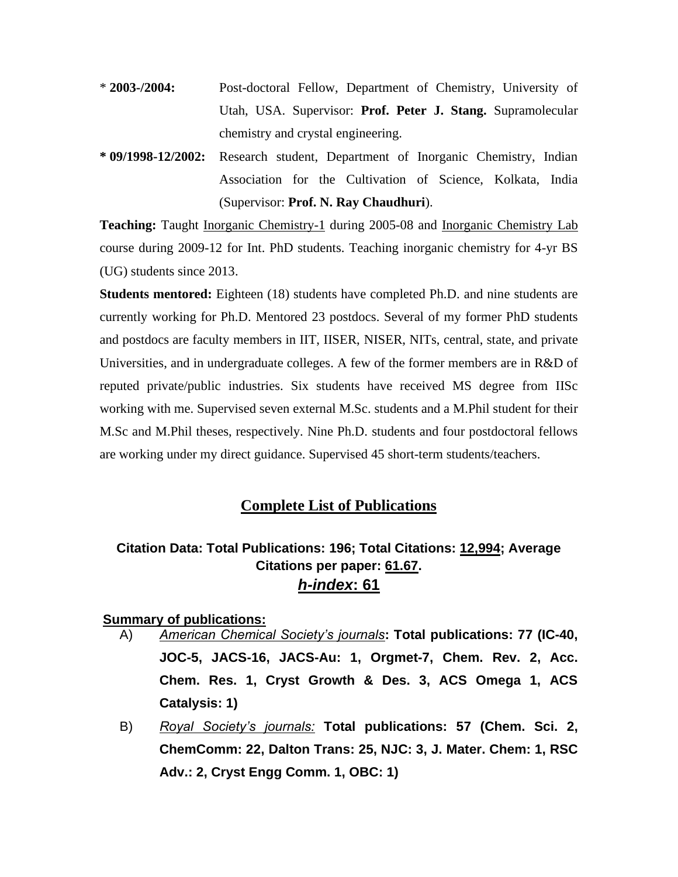- \* **2003-/2004:** Post-doctoral Fellow, Department of Chemistry, University of Utah, USA. Supervisor: **Prof. Peter J. Stang.** Supramolecular chemistry and crystal engineering.
- **\* 09/1998-12/2002:** Research student, Department of Inorganic Chemistry, Indian Association for the Cultivation of Science, Kolkata, India (Supervisor: **Prof. N. Ray Chaudhuri**).

**Teaching:** Taught Inorganic Chemistry-1 during 2005-08 and Inorganic Chemistry Lab course during 2009-12 for Int. PhD students. Teaching inorganic chemistry for 4-yr BS (UG) students since 2013.

**Students mentored:** Eighteen (18) students have completed Ph.D. and nine students are currently working for Ph.D. Mentored 23 postdocs. Several of my former PhD students and postdocs are faculty members in IIT, IISER, NISER, NITs, central, state, and private Universities, and in undergraduate colleges. A few of the former members are in R&D of reputed private/public industries. Six students have received MS degree from IISc working with me. Supervised seven external M.Sc. students and a M.Phil student for their M.Sc and M.Phil theses, respectively. Nine Ph.D. students and four postdoctoral fellows are working under my direct guidance. Supervised 45 short-term students/teachers.

### **Complete List of Publications**

# **Citation Data: Total Publications: 196; Total Citations: 12,994; Average Citations per paper: 61.67.** *h-index***: 61**

### **Summary of publications:**

- A) *American Chemical Society's journals***: Total publications: 77 (IC-40, JOC-5, JACS-16, JACS-Au: 1, Orgmet-7, Chem. Rev. 2, Acc. Chem. Res. 1, Cryst Growth & Des. 3, ACS Omega 1, ACS Catalysis: 1)**
- B) *Royal Society's journals:* **Total publications: 57 (Chem. Sci. 2, ChemComm: 22, Dalton Trans: 25, NJC: 3, J. Mater. Chem: 1, RSC Adv.: 2, Cryst Engg Comm. 1, OBC: 1)**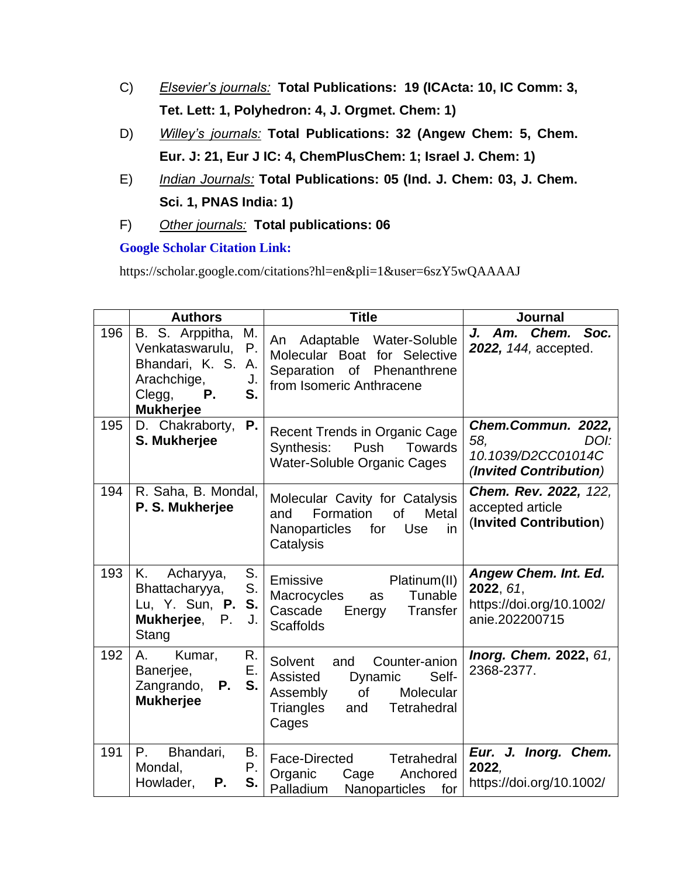- C) *Elsevier's journals:* **Total Publications: 19 (ICActa: 10, IC Comm: 3, Tet. Lett: 1, Polyhedron: 4, J. Orgmet. Chem: 1)**
- D) *Willey's journals:* **Total Publications: 32 (Angew Chem: 5, Chem. Eur. J: 21, Eur J IC: 4, ChemPlusChem: 1; Israel J. Chem: 1)**
- E) *Indian Journals:* **Total Publications: 05 (Ind. J. Chem: 03, J. Chem. Sci. 1, PNAS India: 1)**
- F) *Other journals:* **Total publications: 06**

# **Google Scholar Citation Link:**

https://scholar.google.com/citations?hl=en&pli=1&user=6szY5wQAAAAJ

|     | <b>Authors</b>                                                                                                                         | <b>Title</b>                                                                                                                                      | <b>Journal</b>                                                                    |
|-----|----------------------------------------------------------------------------------------------------------------------------------------|---------------------------------------------------------------------------------------------------------------------------------------------------|-----------------------------------------------------------------------------------|
| 196 | B. S. Arppitha,<br>M.<br>Ρ.<br>Venkataswarulu,<br>Bhandari, K. S.<br>Α.<br>Arachchige,<br>J.<br>S.<br>Clegg,<br>Ρ.<br><b>Mukherjee</b> | An Adaptable Water-Soluble<br>Molecular Boat for Selective<br>Separation of Phenanthrene<br>from Isomeric Anthracene                              | J. Am. Chem. Soc.<br>2022, 144, accepted.                                         |
| 195 | D. Chakraborty,<br>Ρ.<br>S. Mukherjee                                                                                                  | <b>Recent Trends in Organic Cage</b><br>Push<br>Towards<br>Synthesis:<br>Water-Soluble Organic Cages                                              | Chem.Commun. 2022,<br>DOI:<br>58,<br>10.1039/D2CC01014C<br>(Invited Contribution) |
| 194 | R. Saha, B. Mondal,<br>P. S. Mukherjee                                                                                                 | Molecular Cavity for Catalysis<br>of<br>Formation<br><b>Metal</b><br>and<br>Nanoparticles<br>for<br><b>Use</b><br>in<br>Catalysis                 | Chem. Rev. 2022, 122,<br>accepted article<br>(Invited Contribution)               |
| 193 | K. .<br>S.<br>Acharyya,<br>S.<br>Bhattacharyya,<br>Lu, Y. Sun, P. S.<br>Mukherjee, P.<br>J.<br>Stang                                   | Platinum(II)<br>Emissive<br>Tunable<br>Macrocycles<br>as<br>Cascade<br>Energy<br>Transfer<br><b>Scaffolds</b>                                     | Angew Chem. Int. Ed.<br>2022, 61,<br>https://doi.org/10.1002/<br>anie.202200715   |
| 192 | Kumar,<br>R.<br>А.<br>Ε.<br>Banerjee,<br>S.<br>Zangrando, <b>P.</b><br><b>Mukherjee</b>                                                | Counter-anion<br>Solvent<br>and<br>Assisted<br>Dynamic<br>Self-<br>Assembly<br>of<br>Molecular<br>Triangles<br><b>Tetrahedral</b><br>and<br>Cages | <b>Inorg. Chem. 2022, 61,</b><br>2368-2377.                                       |
| 191 | $P_{\rm{L}}$<br>Bhandari,<br>В.<br>Mondal,<br>Ρ.<br>S.<br>Howlader,<br>Р.                                                              | Face-Directed<br>Tetrahedral<br>Organic<br>Cage<br>Anchored<br>Palladium<br>Nanoparticles<br>for                                                  | Eur. J. Inorg. Chem.<br>2022,<br>https://doi.org/10.1002/                         |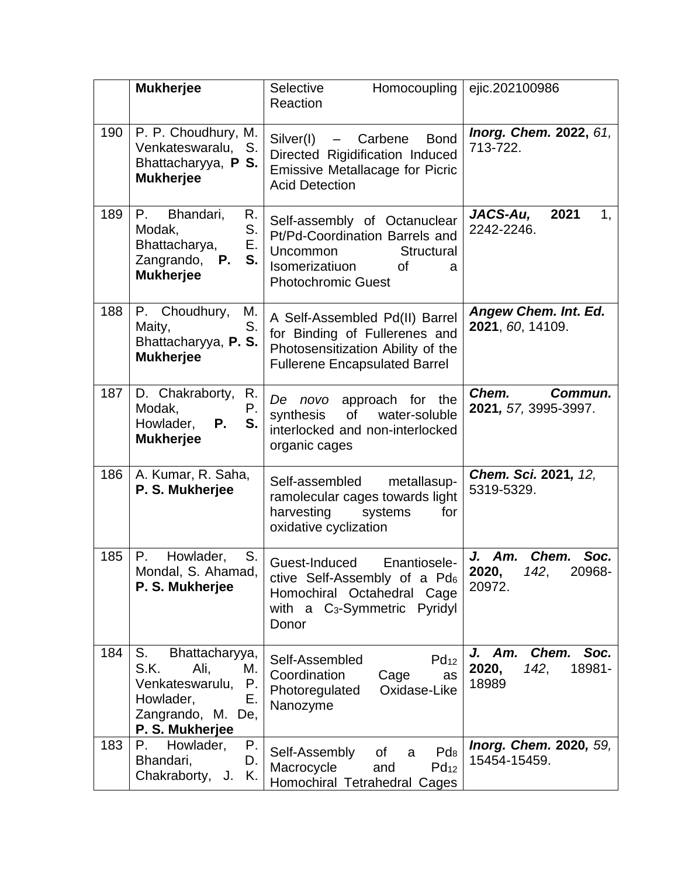|     | <b>Mukherjee</b>                                                                                                               | Selective<br><b>Homocoupling</b><br>Reaction                                                                                                              | ejic.202100986                                                  |
|-----|--------------------------------------------------------------------------------------------------------------------------------|-----------------------------------------------------------------------------------------------------------------------------------------------------------|-----------------------------------------------------------------|
| 190 | P. P. Choudhury, M.<br>Venkateswaralu, S.<br>Bhattacharyya, P S.<br><b>Mukherjee</b>                                           | Silver(I)<br>- Carbene<br><b>Bond</b><br>Directed Rigidification Induced<br><b>Emissive Metallacage for Picric</b><br><b>Acid Detection</b>               | Inorg. Chem. 2022, 61,<br>713-722.                              |
| 189 | Bhandari,<br>P.<br>R.<br>S.<br>Modak,<br>Ε.<br>Bhattacharya,<br>S.<br>Zangrando, <b>P.</b><br><b>Mukherjee</b>                 | Self-assembly of Octanuclear<br>Pt/Pd-Coordination Barrels and<br>Structural<br>Uncommon<br>Isomerizatiuon<br><b>of</b><br>a<br><b>Photochromic Guest</b> | 2021<br>JACS-Au,<br>1,<br>2242-2246.                            |
| 188 | P. Choudhury,<br>M.<br>S.<br>Maity,<br>Bhattacharyya, P. S.<br><b>Mukherjee</b>                                                | A Self-Assembled Pd(II) Barrel<br>for Binding of Fullerenes and<br>Photosensitization Ability of the<br><b>Fullerene Encapsulated Barrel</b>              | <b>Angew Chem. Int. Ed.</b><br>2021, 60, 14109.                 |
| 187 | D. Chakraborty,<br>R.<br>Ρ.<br>Modak,<br>S.<br>Howlader,<br>Ρ.<br><b>Mukherjee</b>                                             | approach for the<br>De<br>novo<br>synthesis<br>of<br>water-soluble<br>interlocked and non-interlocked<br>organic cages                                    | Chem.<br>Commun.<br>2021, 57, 3995-3997.                        |
| 186 | A. Kumar, R. Saha,<br>P. S. Mukherjee                                                                                          | metallasup-<br>Self-assembled<br>ramolecular cages towards light<br>harvesting<br>systems<br>for<br>oxidative cyclization                                 | Chem. Sci. 2021, 12,<br>5319-5329.                              |
| 185 | Howlader,<br>P.<br>S.<br>Mondal, S. Ahamad,<br>P. S. Mukherjee                                                                 | Guest-Induced<br>Enantiosele-<br>ctive Self-Assembly of a Pd6<br>Homochiral Octahedral Cage<br>with a C <sub>3</sub> -Symmetric Pyridyl<br>Donor          | Chem.<br>Soc.<br>Am.<br>J.<br>2020,<br>142,<br>20968-<br>20972. |
| 184 | S.<br>Bhattacharyya,<br>S.K.<br>Ali,<br>M.<br>Venkateswarulu,<br>Ρ.<br>Е.<br>Howlader,<br>Zangrando, M. De,<br>P. S. Mukherjee | $Pd_{12}$<br>Self-Assembled<br>Coordination<br>Cage<br>as<br>Photoregulated<br>Oxidase-Like<br>Nanozyme                                                   | J. Am. Chem.<br>Soc.<br>18981-<br>2020,<br>142,<br>18989        |
| 183 | Howlader,<br>Р.<br>P.<br>Bhandari,<br>D.<br>Chakraborty, J.<br>K.                                                              | Self-Assembly<br>Pd <sub>8</sub><br>of<br>a<br>Macrocycle<br>$Pd_{12}$<br>and<br>Homochiral Tetrahedral Cages                                             | Inorg. Chem. 2020, 59,<br>15454-15459.                          |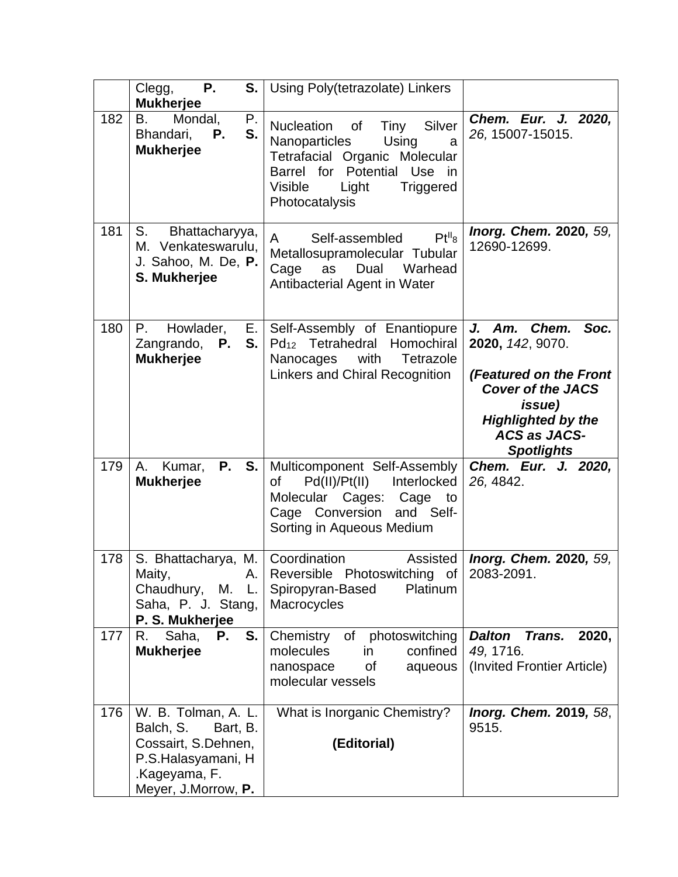|     | Ρ.<br>Clegg,<br>S.<br><b>Mukherjee</b>                                                                                            | Using Poly(tetrazolate) Linkers                                                                                                                                                                               |                                                                                                                                                                                        |
|-----|-----------------------------------------------------------------------------------------------------------------------------------|---------------------------------------------------------------------------------------------------------------------------------------------------------------------------------------------------------------|----------------------------------------------------------------------------------------------------------------------------------------------------------------------------------------|
| 182 | Mondal,<br>B.<br>Р.<br>S.<br>Bhandari,<br>Р.<br><b>Mukherjee</b>                                                                  | Silver<br><b>Nucleation</b><br><b>of</b><br>Tiny<br>Nanoparticles<br>Using<br>a<br>Tetrafacial Organic Molecular<br>Barrel for Potential Use<br>-in<br>Visible<br>Light<br><b>Triggered</b><br>Photocatalysis | Chem. Eur. J. 2020,<br>26, 15007-15015.                                                                                                                                                |
| 181 | S.<br>Bhattacharyya,<br>M. Venkateswarulu,<br>J. Sahoo, M. De, P.<br>S. Mukherjee                                                 | Pt <sup>II</sup> 8<br>Self-assembled<br>$\mathsf{A}$<br>Metallosupramolecular Tubular<br>Dual<br>Warhead<br>Cage<br>as<br>Antibacterial Agent in Water                                                        | Inorg. Chem. 2020, 59,<br>12690-12699.                                                                                                                                                 |
| 180 | P.<br>Howlader,<br>S.<br>Zangrando, <b>P.</b><br><b>Mukherjee</b>                                                                 | E. Self-Assembly of Enantiopure<br>Pd <sub>12</sub> Tetrahedral<br>Homochiral<br>with<br>Tetrazole<br>Nanocages<br>Linkers and Chiral Recognition                                                             | J. Am. Chem. Soc.<br>2020, 142, 9070.<br>(Featured on the Front<br><b>Cover of the JACS</b><br><i>issue</i> )<br><b>Highlighted by the</b><br><b>ACS as JACS-</b><br><b>Spotlights</b> |
| 179 | <b>P.</b><br>S.<br>Kumar,<br>A.<br><b>Mukherjee</b>                                                                               | Multicomponent Self-Assembly<br>Pd(II)/Pt(II) Interlocked<br>of<br>Molecular Cages: Cage to<br>Cage Conversion and Self-<br>Sorting in Aqueous Medium                                                         | Chem. Eur. J. 2020,<br>26, 4842.                                                                                                                                                       |
| 178 | S. Bhattacharya, M.<br>Maity,<br>А.<br>Chaudhury, M. L.<br>Saha, P. J. Stang,<br>P. S. Mukherjee                                  | Coordination<br>Assisted<br>Reversible Photoswitching of   2083-2091.<br>Spiropyran-Based<br>Platinum<br>Macrocycles                                                                                          | Inorg. Chem. 2020, 59,                                                                                                                                                                 |
| 177 | S.<br>R. Saha,<br>Р.<br><b>Mukherjee</b>                                                                                          | Chemistry<br>of photoswitching<br>molecules<br>confined<br>in.<br>nanospace<br>of<br>aqueous<br>molecular vessels                                                                                             | <b>Dalton</b><br><b>Trans.</b><br>2020,<br>49, 1716.<br>(Invited Frontier Article)                                                                                                     |
| 176 | W. B. Tolman, A. L.<br>Balch, S.<br>Bart, B.<br>Cossairt, S.Dehnen,<br>P.S.Halasyamani, H<br>.Kageyama, F.<br>Meyer, J.Morrow, P. | What is Inorganic Chemistry?<br>(Editorial)                                                                                                                                                                   | <b>Inorg. Chem. 2019, 58,</b><br>9515.                                                                                                                                                 |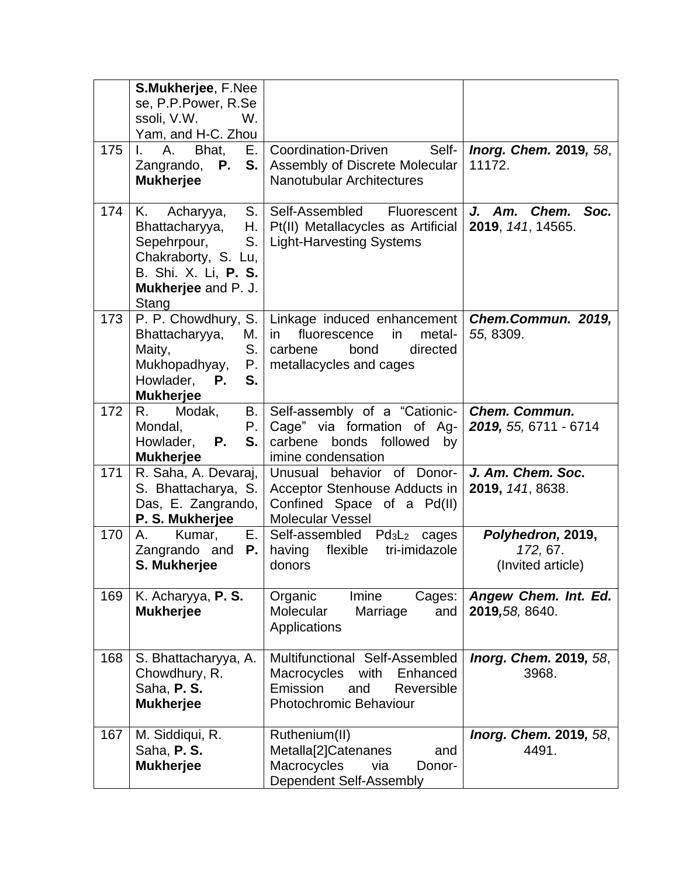| 175 | S.Mukherjee, F.Nee<br>se, P.P.Power, R.Se<br>ssoli, V.W.<br>W.<br>Yam, and H-C. Zhou<br>A.<br>Bhat,<br>L.<br><b>Mukherjee</b>         | Self-<br>E.   Coordination-Driven<br>Zangrando, P. S.   Assembly of Discrete Molecular<br>Nanotubular Architectures                                    | Inorg. Chem. 2019, 58,<br>11172.                   |
|-----|---------------------------------------------------------------------------------------------------------------------------------------|--------------------------------------------------------------------------------------------------------------------------------------------------------|----------------------------------------------------|
| 174 | K.<br>Acharyya,<br>Bhattacharyya,<br>Sepehrpour,<br>S.<br>Chakraborty, S. Lu,<br>B. Shi. X. Li, P. S.<br>Mukherjee and P. J.<br>Stang | S. Self-Assembled<br>Fluorescent<br>H.   Pt(II) Metallacycles as Artificial<br><b>Light-Harvesting Systems</b>                                         | $J.$ Am.<br>Chem.<br>Soc.<br>2019, 141, 14565.     |
| 173 | Bhattacharyya,<br>$M.$   in<br>Maity,<br>Mukhopadhyay,<br>Howlader, P.<br>S.<br><b>Mukherjee</b>                                      | P. P. Chowdhury, S.   Linkage induced enhancement  <br>fluorescence<br>metal-<br>in.<br>S. carbene<br>directed<br>bond<br>P.   metallacycles and cages | Chem.Commun. 2019,<br>55, 8309.                    |
| 172 | R.<br>Modak,<br>B.<br>Mondal,<br>P.<br>Howlader, <b>P.</b><br>S.<br><b>Mukherjee</b>                                                  | Self-assembly of a "Cationic-<br>Cage" via formation of Ag-<br>carbene bonds followed<br>by<br>imine condensation                                      | <b>Chem. Commun.</b><br>2019, 55, 6711 - 6714      |
| 171 | R. Saha, A. Devaraj,  <br>Das, E. Zangrando,<br>P. S. Mukherjee                                                                       | behavior of Donor-<br>Unusual<br>S. Bhattacharya, S.   Acceptor Stenhouse Adducts in<br>Confined Space of a Pd(II)<br><b>Molecular Vessel</b>          | J. Am. Chem. Soc.<br>2019, 141, 8638.              |
| 170 | $A_{1}$<br>Kumar,<br>Zangrando and<br>S. Mukherjee                                                                                    | $E.$ Self-assembled Pd <sub>3</sub> L <sub>2</sub> cages<br><b>P.</b>   having flexible<br>tri-imidazole<br>donors                                     | Polyhedron, 2019,<br>172, 67.<br>(Invited article) |
| 169 | K. Acharyya, P. S.<br><b>Mukherjee</b>                                                                                                | Imine<br>Organic<br>Cages:<br>Molecular<br>Marriage<br>and<br>Applications                                                                             | Angew Chem. Int. Ed.<br>2019, 58, 8640.            |
| 168 | S. Bhattacharyya, A.<br>Chowdhury, R.<br>Saha, P.S.<br><b>Mukherjee</b>                                                               | Multifunctional Self-Assembled<br>Macrocycles<br>with<br>Enhanced<br>Emission<br>and<br>Reversible<br>Photochromic Behaviour                           | Inorg. Chem. 2019, 58,<br>3968.                    |
| 167 | M. Siddiqui, R.<br>Saha, P.S.<br><b>Mukherjee</b>                                                                                     | Ruthenium(II)<br>Metalla[2]Catenanes<br>and<br>Macrocycles<br>via<br>Donor-<br>Dependent Self-Assembly                                                 | Inorg. Chem. 2019, 58,<br>4491.                    |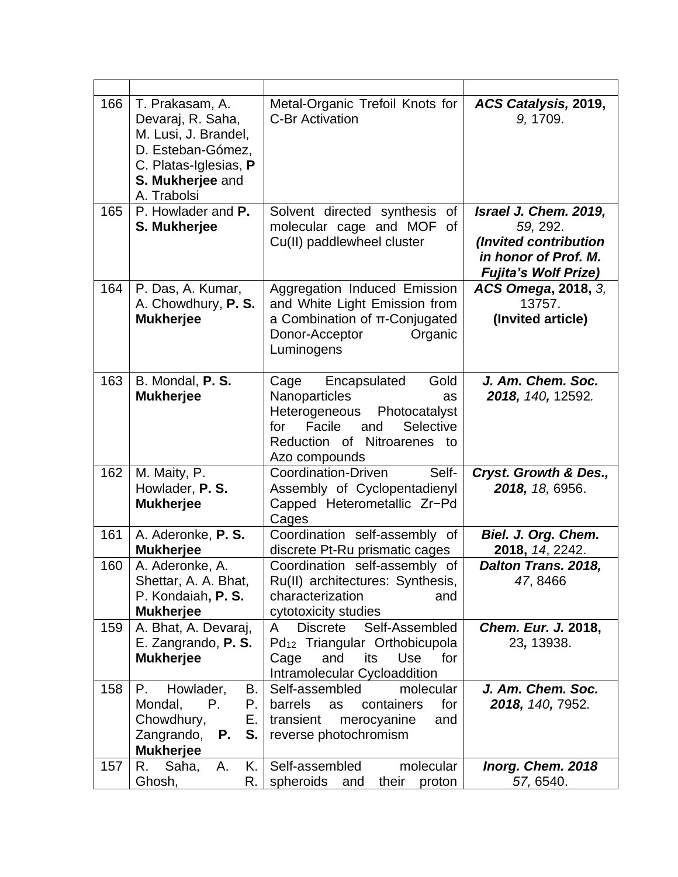| 166 | T. Prakasam, A.<br>Devaraj, R. Saha,<br>M. Lusi, J. Brandel,<br>D. Esteban-Gómez,<br>C. Platas-Iglesias, P<br>S. Mukherjee and<br>A. Trabolsi | Metal-Organic Trefoil Knots for<br><b>C-Br Activation</b>                                                                                                                  | ACS Catalysis, 2019,<br>9, 1709.                                                                                  |
|-----|-----------------------------------------------------------------------------------------------------------------------------------------------|----------------------------------------------------------------------------------------------------------------------------------------------------------------------------|-------------------------------------------------------------------------------------------------------------------|
| 165 | P. Howlader and P.<br>S. Mukherjee                                                                                                            | Solvent directed synthesis of<br>molecular cage and MOF<br>of<br>Cu(II) paddlewheel cluster                                                                                | Israel J. Chem. 2019,<br>59, 292.<br>(Invited contribution<br>in honor of Prof. M.<br><b>Fujita's Wolf Prize)</b> |
| 164 | P. Das, A. Kumar,<br>A. Chowdhury, P. S.<br><b>Mukherjee</b>                                                                                  | Aggregation Induced Emission<br>and White Light Emission from<br>a Combination of π-Conjugated<br>Donor-Acceptor<br>Organic<br>Luminogens                                  | ACS Omega, 2018, 3,<br>13757.<br>(Invited article)                                                                |
| 163 | B. Mondal, P. S.<br><b>Mukherjee</b>                                                                                                          | Gold<br>Encapsulated<br>Cage<br>Nanoparticles<br>as<br>Heterogeneous<br>Photocatalyst<br>Facile<br>Selective<br>for<br>and<br>Reduction of Nitroarenes to<br>Azo compounds | J. Am. Chem. Soc.<br>2018, 140, 12592.                                                                            |
| 162 | M. Maity, P.<br>Howlader, P. S.<br><b>Mukherjee</b>                                                                                           | Self-<br>Coordination-Driven<br>Assembly of Cyclopentadienyl<br>Capped Heterometallic Zr-Pd<br>Cages                                                                       | Cryst. Growth & Des.,<br>2018, 18, 6956.                                                                          |
| 161 | A. Aderonke, P. S.<br><b>Mukherjee</b>                                                                                                        | Coordination self-assembly of<br>discrete Pt-Ru prismatic cages                                                                                                            | Biel. J. Org. Chem.<br>2018, 14, 2242.                                                                            |
| 160 | A. Aderonke, A.<br>Shettar, A. A. Bhat,<br>P. Kondaiah, P. S.<br><b>Mukherjee</b>                                                             | Coordination self-assembly of<br>Ru(II) architectures: Synthesis,<br>characterization<br>and<br>cytotoxicity studies                                                       | Dalton Trans. 2018,<br>47, 8466                                                                                   |
| 159 | A. Bhat, A. Devaraj,<br>E. Zangrando, P. S.<br><b>Mukherjee</b>                                                                               | <b>Discrete</b><br>Self-Assembled<br>A<br>Pd <sub>12</sub> Triangular Orthobicupola<br>and<br>its<br>Use<br>for<br>Cage<br>Intramolecular Cycloaddition                    | Chem. Eur. J. 2018,<br>23, 13938.                                                                                 |
| 158 | Howlader,<br>Р.<br>В.<br>Mondal,<br>Р.<br>Р.<br>Chowdhury,<br>Е.<br>Zangrando,<br>S.<br>Р.<br><b>Mukherjee</b>                                | Self-assembled<br>molecular<br>barrels<br>containers<br>for<br>as<br>transient<br>merocyanine<br>and<br>reverse photochromism                                              | J. Am. Chem. Soc.<br>2018, 140, 7952.                                                                             |
| 157 | Κ.<br>R.<br>Saha,<br>Α.<br>Ghosh,<br>R.                                                                                                       | Self-assembled<br>molecular<br>spheroids<br>their<br>proton<br>and                                                                                                         | Inorg. Chem. 2018<br>57, 6540.                                                                                    |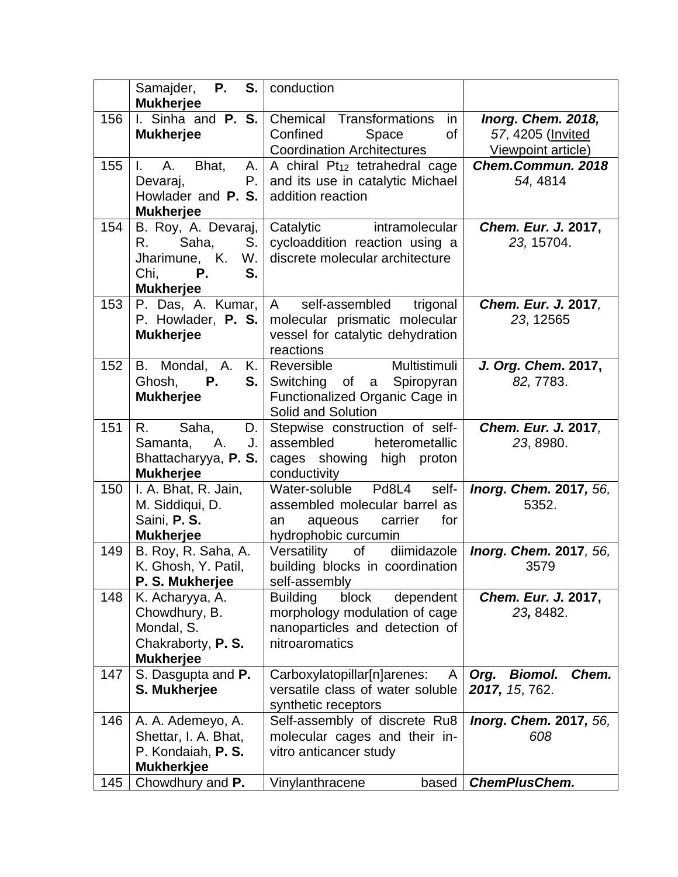|     | <b>P.</b><br>S.<br>Samajder,<br><b>Mukherjee</b>                                                                | conduction                                                                                                                 |                                                               |
|-----|-----------------------------------------------------------------------------------------------------------------|----------------------------------------------------------------------------------------------------------------------------|---------------------------------------------------------------|
| 156 | I. Sinha and P. S.<br><b>Mukherjee</b>                                                                          | Chemical Transformations<br>in<br>Confined<br>of<br>Space<br><b>Coordination Architectures</b>                             | Inorg. Chem. 2018,<br>57, 4205 (Invited<br>Viewpoint article) |
| 155 | A.<br>Bhat,<br>$\mathbf{L}$<br>A. I<br>$P_{\cdot}$<br>Devaraj,<br>Howlader and <b>P. S.</b><br><b>Mukherjee</b> | A chiral Pt <sub>12</sub> tetrahedral cage<br>and its use in catalytic Michael<br>addition reaction                        | Chem.Commun. 2018<br>54, 4814                                 |
| 154 | B. Roy, A. Devaraj,<br>Saha,<br>S.<br>R.<br>Jharimune, K.<br>W.<br>Chi,<br>Р.<br>S.<br><b>Mukherjee</b>         | Catalytic<br>intramolecular<br>cycloaddition reaction using a<br>discrete molecular architecture                           | Chem. Eur. J. 2017,<br>23, 15704.                             |
| 153 | P. Das, A. Kumar,<br>P. Howlader, P. S.<br><b>Mukherjee</b>                                                     | trigonal<br>self-assembled<br>$A \quad$<br>molecular prismatic molecular<br>vessel for catalytic dehydration<br>reactions  | Chem. Eur. J. 2017,<br>23, 12565                              |
| 152 | B. Mondal, A.<br>K.<br><b>P.</b><br>S.<br>Ghosh,<br><b>Mukherjee</b>                                            | Multistimuli<br>Reversible<br>Switching of a Spiropyran<br>Functionalized Organic Cage in<br>Solid and Solution            | J. Org. Chem. 2017,<br>82, 7783.                              |
| 151 | R.<br>Saha,<br>D.<br>Α.<br>J.<br>Samanta,<br>Bhattacharyya, P. S.<br><b>Mukherjee</b>                           | Stepwise construction of self-<br>assembled<br>heterometallic<br>cages showing high proton<br>conductivity                 | Chem. Eur. J. 2017,<br>23, 8980.                              |
| 150 | I. A. Bhat, R. Jain,<br>M. Siddiqui, D.<br>Saini, P. S.<br><b>Mukherjee</b>                                     | self-<br>Water-soluble Pd8L4<br>assembled molecular barrel as<br>aqueous<br>carrier<br>for<br>an<br>hydrophobic curcumin   | Inorg. Chem. 2017, 56,<br>5352.                               |
| 149 | B. Roy, R. Saha, A.<br>K. Ghosh, Y. Patil,<br>P. S. Mukherjee                                                   | diimidazole<br>Versatility<br>of<br>building blocks in coordination<br>self-assembly                                       | Inorg. Chem. 2017, 56,<br>3579                                |
| 148 | K. Acharyya, A.<br>Chowdhury, B.<br>Mondal, S.<br>Chakraborty, P. S.<br><b>Mukherjee</b>                        | <b>Building</b><br>block<br>dependent<br>morphology modulation of cage<br>nanoparticles and detection of<br>nitroaromatics | Chem. Eur. J. 2017,<br>23, 8482.                              |
| 147 | S. Dasgupta and P.<br>S. Mukherjee                                                                              | Carboxylatopillar[n]arenes:<br>A<br>versatile class of water soluble<br>synthetic receptors                                | <b>Biomol.</b><br>Chem.<br>Org.<br>2017, 15, 762.             |
| 146 | A. A. Ademeyo, A.<br>Shettar, I. A. Bhat,<br>P. Kondaiah, P. S.<br><b>Mukherkjee</b>                            | Self-assembly of discrete Ru8<br>molecular cages and their in-<br>vitro anticancer study                                   | Inorg. Chem. 2017, 56,<br>608                                 |
| 145 | Chowdhury and P.                                                                                                | Vinylanthracene<br>based                                                                                                   | <b>ChemPlusChem.</b>                                          |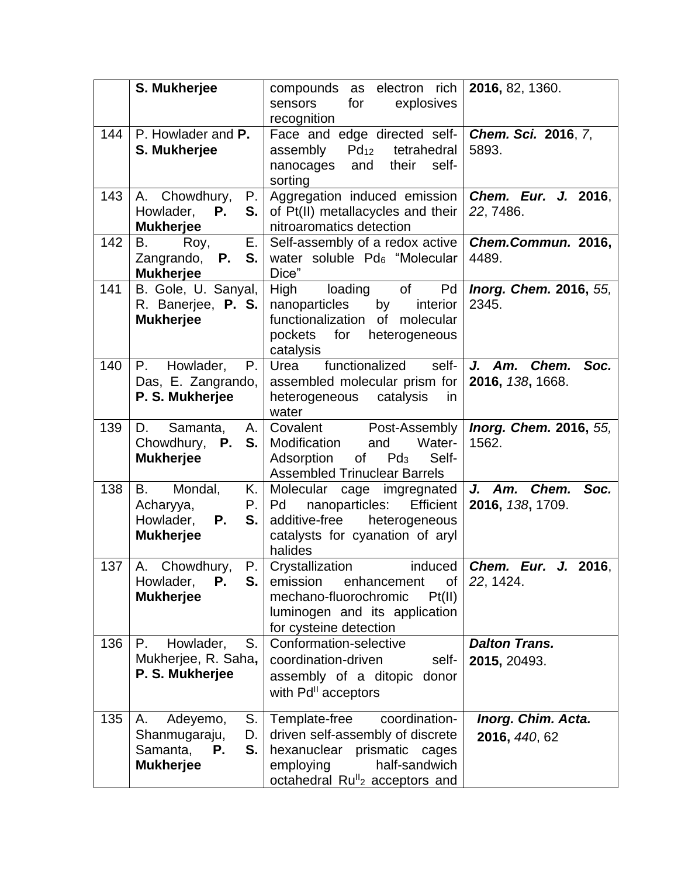|     | S. Mukherjee                                                                            | compounds as electron rich<br>explosives<br>sensors<br>for<br>recognition                                                                                                                 | 2016, 82, 1360.                               |
|-----|-----------------------------------------------------------------------------------------|-------------------------------------------------------------------------------------------------------------------------------------------------------------------------------------------|-----------------------------------------------|
| 144 | P. Howlader and P.<br>S. Mukherjee                                                      | Face and edge directed self-<br>$Pd_{12}$<br>tetrahedral<br>assembly<br>their<br>self-<br>nanocages<br>and<br>sorting                                                                     | Chem. Sci. 2016, 7,<br>5893.                  |
| 143 | A. Chowdhury,<br>Ρ.<br>S.<br>Howlader,<br>Р.<br><b>Mukherjee</b>                        | Aggregation induced emission<br>of Pt(II) metallacycles and their<br>nitroaromatics detection                                                                                             | Chem. Eur. J. 2016.<br>22, 7486.              |
| 142 | <b>B.</b><br>Е.<br>Roy,<br><b>P.</b><br>Zangrando,<br>S.<br><b>Mukherjee</b>            | Self-assembly of a redox active<br>water soluble Pd <sub>6</sub> "Molecular<br>Dice"                                                                                                      | Chem.Commun. 2016,<br>4489.                   |
| 141 | B. Gole, U. Sanyal,<br>R. Banerjee, P. S.<br><b>Mukherjee</b>                           | High<br>loading<br>of<br>Pd<br>nanoparticles<br>by<br>interior<br>functionalization<br>of molecular<br>pockets<br>for<br>heterogeneous<br>catalysis                                       | Inorg. Chem. 2016, 55,<br>2345.               |
| 140 | Howlader,<br>Ρ.<br>P.<br>Das, E. Zangrando,<br>P. S. Mukherjee                          | functionalized<br>self-<br>Urea<br>assembled molecular prism for<br>heterogeneous<br>catalysis<br>in.<br>water                                                                            | $J.$ Am.<br>Chem.<br>Soc.<br>2016, 138, 1668. |
| 139 | D.<br>Samanta,<br>Chowdhury, <b>P.</b><br><b>Mukherjee</b>                              | A.   Covalent<br>Post-Assembly<br>Water-<br><b>S.</b> Modification<br>and<br>Pd <sub>3</sub><br>Self-<br>Adsorption<br>of<br><b>Assembled Trinuclear Barrels</b>                          | Inorg. Chem. 2016, 55,<br>1562.               |
| 138 | B.<br>Mondal,<br>Κ.<br>Acharyya,<br>Howlader,<br><b>P.</b><br>S.<br><b>Mukherjee</b>    | Molecular cage imgregnated<br>nanoparticles:<br><b>Efficient</b><br>$P. \vert Pd$<br>additive-free<br>heterogeneous<br>catalysts for cyanation of aryl<br>halides                         | Chem.<br>Soc.<br>J. Am.<br>2016, 138, 1709.   |
| 137 | Chowdhury,<br>P.<br>A.<br>S.<br>Howlader,<br>Р.<br><b>Mukherjee</b>                     | Crystallization<br>induced<br>emission<br>enhancement<br>of<br>Pt(II)<br>mechano-fluorochromic<br>luminogen and its application<br>for cysteine detection                                 | Chem. Eur. J. 2016,<br>22, 1424.              |
| 136 | S.<br>Р.<br>Howlader,<br>Mukherjee, R. Saha,<br>P. S. Mukherjee                         | Conformation-selective<br>coordination-driven<br>self-<br>assembly of a ditopic donor<br>with Pd <sup>II</sup> acceptors                                                                  | <b>Dalton Trans.</b><br>2015, 20493.          |
| 135 | S.<br>Adeyemo,<br>А.<br>Shanmugaraju,<br>D.<br>S.<br>Samanta,<br>Р.<br><b>Mukherjee</b> | coordination-<br>Template-free<br>driven self-assembly of discrete<br>hexanuclear prismatic cages<br>employing<br>half-sandwich<br>octahedral Ru <sup>ll</sup> <sub>2</sub> acceptors and | Inorg. Chim. Acta.<br>2016, 440, 62           |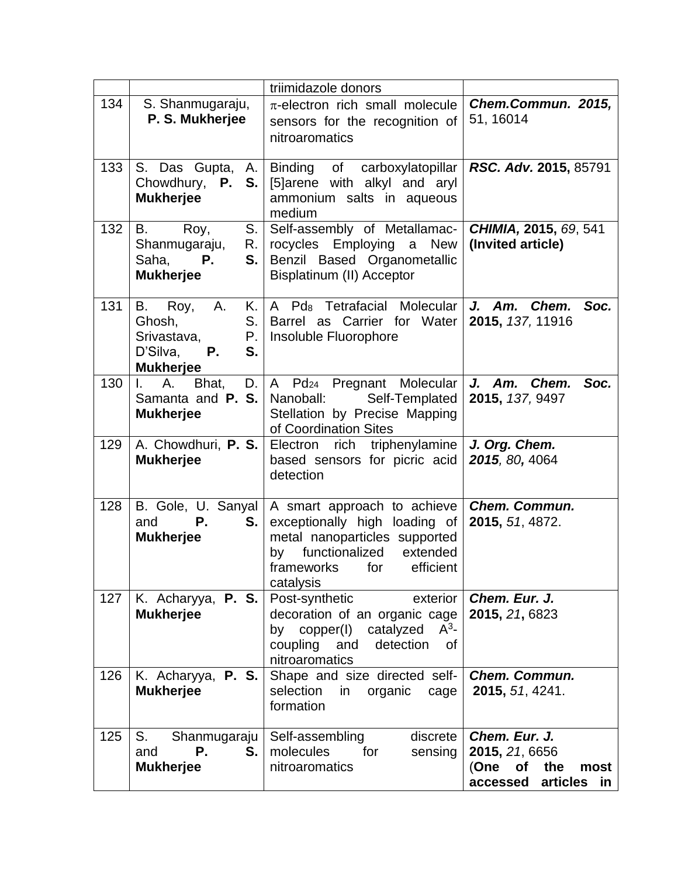|     |                                                                                                                   | triimidazole donors                                                                                                                                                           |                                                                                          |
|-----|-------------------------------------------------------------------------------------------------------------------|-------------------------------------------------------------------------------------------------------------------------------------------------------------------------------|------------------------------------------------------------------------------------------|
| 134 | S. Shanmugaraju,<br>P. S. Mukherjee                                                                               | $\pi$ -electron rich small molecule<br>sensors for the recognition of<br>nitroaromatics                                                                                       | Chem.Commun. 2015,<br>51, 16014                                                          |
| 133 | S. Das Gupta,<br>A. I<br>Chowdhury, P.<br>S.<br><b>Mukherjee</b>                                                  | Binding of carboxylatopillar<br>[5] arene with alkyl and aryl<br>ammonium salts in aqueous<br>medium                                                                          | RSC. Adv. 2015, 85791                                                                    |
| 132 | B.<br>Roy,<br>S.<br>Shanmugaraju,<br>R. I<br>Saha,<br>S.<br>Р.<br><b>Mukherjee</b>                                | Self-assembly of Metallamac-<br>rocycles Employing a<br><b>New</b><br>Benzil Based Organometallic<br>Bisplatinum (II) Acceptor                                                | CHIMIA, 2015, 69, 541<br>(Invited article)                                               |
| 131 | A.<br>B.<br>Roy,<br>Ghosh,<br>S.<br>Srivastava,<br>$P_{\cdot}$<br>D'Silva,<br><b>P.</b><br>S.<br><b>Mukherjee</b> | K.   A Pd <sub>8</sub> Tetrafacial Molecular<br>Barrel as Carrier for Water<br>Insoluble Fluorophore                                                                          | Soc.<br>J. Am. Chem.<br>2015, 137, 11916                                                 |
| 130 | A.<br>$\mathbf{L}$<br>Bhat,<br>Samanta and <b>P. S.</b><br><b>Mukherjee</b>                                       | D.   A Pd24 Pregnant Molecular<br>Self-Templated<br>Nanoball:<br>Stellation by Precise Mapping<br>of Coordination Sites                                                       | J. Am. Chem. Soc.<br>2015, 137, 9497                                                     |
| 129 | <b>Mukherjee</b>                                                                                                  | A. Chowdhuri, P. S.   Electron rich triphenylamine<br>based sensors for picric acid<br>detection                                                                              | J. Org. Chem.<br>2015, 80, 4064                                                          |
| 128 | B. Gole, U. Sanyal<br>and<br>Р.<br>S.<br><b>Mukherjee</b>                                                         | A smart approach to achieve<br>exceptionally high loading of<br>metal nanoparticles supported<br>functionalized extended<br>by<br>frameworks<br>for<br>efficient<br>catalysis | Chem. Commun.<br>2015, 51, 4872.                                                         |
| 127 | K. Acharyya, P. S.<br><b>Mukherjee</b>                                                                            | Post-synthetic<br>exterior<br>decoration of an organic cage<br>$A^3$ -<br>by copper(I) catalyzed<br>coupling<br>and<br>detection<br>οf<br>nitroaromatics                      | Chem. Eur. J.<br>2015, 21, 6823                                                          |
| 126 | K. Acharyya, P. S.<br><b>Mukherjee</b>                                                                            | Shape and size directed self-<br>selection<br>in<br>organic<br>cage<br>formation                                                                                              | <b>Chem. Commun.</b><br>2015, 51, 4241.                                                  |
| 125 | S.<br>Shanmugaraju<br>Р.<br>S.<br>and<br><b>Mukherjee</b>                                                         | discrete<br>Self-assembling<br>molecules<br>for<br>sensing<br>nitroaromatics                                                                                                  | Chem. Eur. J.<br>2015, 21, 6656<br>(One)<br>of<br>the<br>most<br>accessed<br>articles in |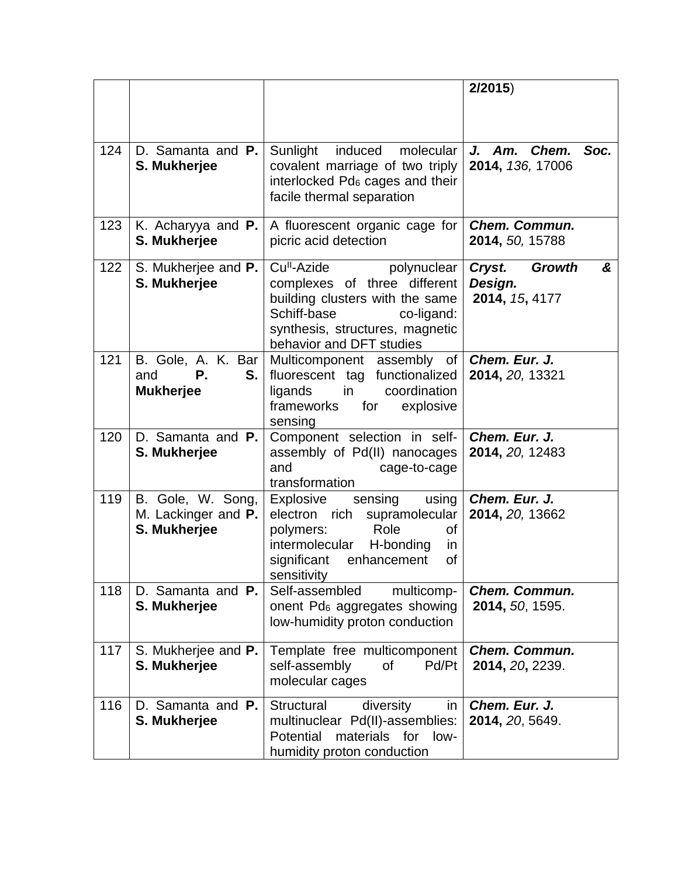|     |                                                           |                                                                                                                                                                                                       | 2/2015                                                    |
|-----|-----------------------------------------------------------|-------------------------------------------------------------------------------------------------------------------------------------------------------------------------------------------------------|-----------------------------------------------------------|
| 124 | D. Samanta and P.<br>S. Mukherjee                         | Sunlight<br>induced<br>molecular<br>covalent marriage of two triply<br>interlocked Pd <sub>6</sub> cages and their<br>facile thermal separation                                                       | J. Am. Chem.<br>Soc.<br>2014, 136, 17006                  |
| 123 | K. Acharyya and <b>P.</b><br>S. Mukherjee                 | A fluorescent organic cage for<br>picric acid detection                                                                                                                                               | <b>Chem. Commun.</b><br>2014, 50, 15788                   |
| 122 | S. Mukherjee and P.<br>S. Mukherjee                       | Cu <sup>II</sup> -Azide<br>polynuclear<br>complexes of three different<br>building clusters with the same<br>Schiff-base<br>co-ligand:<br>synthesis, structures, magnetic<br>behavior and DFT studies | Cryst.<br><b>Growth</b><br>&<br>Design.<br>2014, 15, 4177 |
| 121 | B. Gole, A. K. Bar<br>and<br>Р.<br>S.<br><b>Mukherjee</b> | Multicomponent assembly<br>of<br>fluorescent tag functionalized<br>in<br>coordination<br>ligands<br>frameworks<br>for<br>explosive<br>sensing                                                         | Chem. Eur. J.<br>2014, 20, 13321                          |
| 120 | D. Samanta and P.<br>S. Mukherjee                         | Component selection in self-<br>assembly of Pd(II) nanocages<br>and<br>cage-to-cage<br>transformation                                                                                                 | Chem. Eur. J.<br>2014, 20, 12483                          |
| 119 | B. Gole, W. Song,<br>M. Lackinger and P.<br>S. Mukherjee  | sensing<br>Explosive<br>using<br>electron rich<br>supramolecular<br>Role<br>polymers:<br>of<br>H-bonding<br>intermolecular<br>in<br>significant<br>enhancement<br><b>of</b><br>sensitivity            | Chem. Eur. J.<br>2014, 20, 13662                          |
| 118 | D. Samanta and <b>P.</b><br>S. Mukherjee                  | Self-assembled<br>multicomp-<br>onent Pd <sub>6</sub> aggregates showing<br>low-humidity proton conduction                                                                                            | <b>Chem. Commun.</b><br>2014, 50, 1595.                   |
| 117 | S. Mukherjee and P.<br>S. Mukherjee                       | Template free multicomponent<br>self-assembly<br>of<br>Pd/Pt<br>molecular cages                                                                                                                       | <b>Chem. Commun.</b><br>2014, 20, 2239.                   |
| 116 | D. Samanta and <b>P.</b><br>S. Mukherjee                  | <b>Structural</b><br>diversity<br>in.<br>multinuclear Pd(II)-assemblies:<br>Potential<br>materials for<br>low-<br>humidity proton conduction                                                          | Chem. Eur. J.<br>2014, 20, 5649.                          |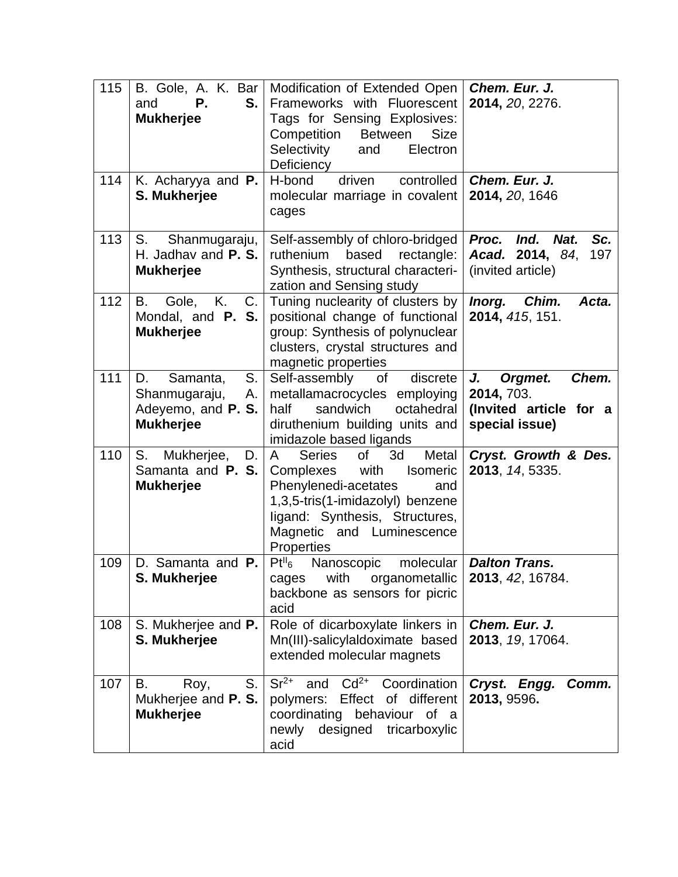| 115 | Ρ.<br>S.<br>and<br><b>Mukherjee</b>                                             | B. Gole, A. K. Bar   Modification of Extended Open<br>Frameworks with Fluorescent<br>Tags for Sensing Explosives:<br>Competition<br><b>Between</b><br><b>Size</b><br>Selectivity<br>Electron<br>and<br>Deficiency               | Chem. Eur. J.<br>2014, 20, 2276.                                                 |
|-----|---------------------------------------------------------------------------------|---------------------------------------------------------------------------------------------------------------------------------------------------------------------------------------------------------------------------------|----------------------------------------------------------------------------------|
| 114 | K. Acharyya and P.<br>S. Mukherjee                                              | controlled<br>H-bond<br>driven<br>molecular marriage in covalent<br>cages                                                                                                                                                       | Chem. Eur. J.<br>2014, 20, 1646                                                  |
| 113 | S.<br>Shanmugaraju,<br>H. Jadhav and P. S.<br><b>Mukherjee</b>                  | Self-assembly of chloro-bridged<br>ruthenium<br>based<br>rectangle:<br>Synthesis, structural characteri-<br>zation and Sensing study                                                                                            | Sc.<br>Proc.<br>Ind.<br>Nat.<br>Acad. 2014, 84,<br>197<br>(invited article)      |
| 112 | <b>B.</b><br>Gole, K.<br>C.<br>Mondal, and <b>P. S.</b><br><b>Mukherjee</b>     | Tuning nuclearity of clusters by<br>positional change of functional<br>group: Synthesis of polynuclear<br>clusters, crystal structures and<br>magnetic properties                                                               | Inorg. Chim.<br>Acta.<br>2014, 415, 151.                                         |
| 111 | S.<br>D.<br>Samanta,<br>Shanmugaraju,<br>Adeyemo, and P. S.<br><b>Mukherjee</b> | Self-assembly<br>discrete<br>of<br>A.   metallamacrocycles employing<br>half<br>sandwich<br>octahedral<br>diruthenium building units and<br>imidazole based ligands                                                             | Orgmet.<br>Chem.<br>J.<br>2014, 703.<br>(Invited article for a<br>special issue) |
| 110 | $S_{\cdot}$<br>Mukherjee,<br>D.<br>Samanta and P. S.<br><b>Mukherjee</b>        | A<br><b>Series</b><br>of<br>3d<br>Metal<br>Complexes<br>with<br><b>Isomeric</b><br>Phenylenedi-acetates<br>and<br>1,3,5-tris(1-imidazolyl) benzene<br>ligand: Synthesis, Structures,<br>Magnetic and Luminescence<br>Properties | Cryst. Growth & Des.<br>2013, 14, 5335.                                          |
| 109 | D. Samanta and P.<br>S. Mukherjee                                               | Pt <sup>H</sup> 6<br>Nanoscopic<br>molecular  <br>cages<br>with<br>organometallic<br>backbone as sensors for picric<br>acid                                                                                                     | <b>Dalton Trans.</b><br>2013, 42, 16784.                                         |
| 108 | S. Mukherjee and P.<br>S. Mukherjee                                             | Role of dicarboxylate linkers in<br>Mn(III)-salicylaldoximate based<br>extended molecular magnets                                                                                                                               | Chem. Eur. J.<br>2013, 19, 17064.                                                |
| 107 | S.<br>В.<br>Roy,<br>Mukherjee and P. S.<br><b>Mukherjee</b>                     | $Sr^{2+}$<br>$Cd2+$<br>Coordination<br>and<br>Effect of different<br>polymers:<br>coordinating behaviour of a<br>newly<br>designed<br>tricarboxylic<br>acid                                                                     | Cryst.<br>Comm.<br>Engg.<br>2013, 9596.                                          |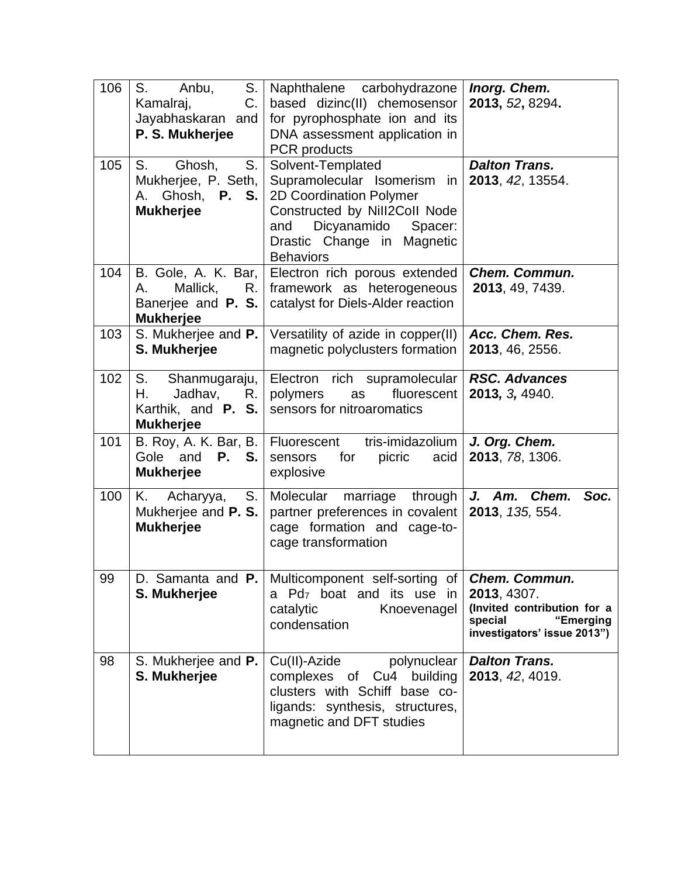| 106 | S.<br>Anbu,<br>S.<br>Kamalraj,<br>C.<br>Jayabhaskaran<br>and<br>P. S. Mukherjee                 | Naphthalene carbohydrazone<br>based dizinc(II) chemosensor<br>for pyrophosphate ion and its<br>DNA assessment application in<br><b>PCR</b> products                                             | Inorg. Chem.<br>2013, 52, 8294.                                                                                    |
|-----|-------------------------------------------------------------------------------------------------|-------------------------------------------------------------------------------------------------------------------------------------------------------------------------------------------------|--------------------------------------------------------------------------------------------------------------------|
| 105 | S.<br>Ghosh,<br>S.<br>Mukherjee, P. Seth,<br>Ghosh, P. S.<br>А.<br><b>Mukherjee</b>             | Solvent-Templated<br>Supramolecular Isomerism in<br>2D Coordination Polymer<br>Constructed by Nill2Coll Node<br>Dicyanamido<br>Spacer:<br>and<br>Drastic Change in Magnetic<br><b>Behaviors</b> | <b>Dalton Trans.</b><br>2013, 42, 13554.                                                                           |
| 104 | Mallick,<br>А.<br>Banerjee and $P. S.$<br><b>Mukherjee</b>                                      | B. Gole, A. K. Bar, Electron rich porous extended<br>R.   framework as heterogeneous<br>catalyst for Diels-Alder reaction                                                                       | <b>Chem. Commun.</b><br>2013, 49, 7439.                                                                            |
| 103 | S. Mukherjee and P.<br>S. Mukherjee                                                             | Versatility of azide in copper(II)<br>magnetic polyclusters formation                                                                                                                           | Acc. Chem. Res.<br>2013, 46, 2556.                                                                                 |
| 102 | S.<br>Shanmugaraju,<br>Η.<br>Jadhav,<br>$R_{\cdot}$<br>Karthik, and $P. S.$<br><b>Mukherjee</b> | Electron rich supramolecular<br>fluorescent<br>polymers<br>as<br>sensors for nitroaromatics                                                                                                     | <b>RSC. Advances</b><br>2013, 3, 4940.                                                                             |
| 101 | B. Roy, A. K. Bar, B.<br>Gole and <b>P. S.</b><br><b>Mukherjee</b>                              | tris-imidazolium<br>Fluorescent<br>for<br>picric acid<br>sensors<br>explosive                                                                                                                   | J. Org. Chem.<br>2013, 78, 1306.                                                                                   |
| 100 | Κ.<br>Acharyya,<br>Mukherjee and P. S.<br><b>Mukherjee</b>                                      | S.   Molecular marriage through<br>partner preferences in covalent  <br>cage formation and cage-to-<br>cage transformation                                                                      | J. Am. Chem.<br>Soc.<br>2013, 135, 554.                                                                            |
| 99  | D. Samanta and P.<br>S. Mukherjee                                                               | Multicomponent self-sorting of<br>a Pd <sub>7</sub> boat and its use in<br>catalytic<br>Knoevenagel<br>condensation                                                                             | Chem. Commun.<br>2013, 4307.<br>(Invited contribution for a<br>special<br>"Emerging<br>investigators' issue 2013") |
| 98  | S. Mukherjee and P.<br>S. Mukherjee                                                             | Cu(II)-Azide<br>polynuclear<br>complexes of Cu4 building<br>clusters with Schiff base co-<br>ligands: synthesis, structures,<br>magnetic and DFT studies                                        | <b>Dalton Trans.</b><br>2013, 42, 4019.                                                                            |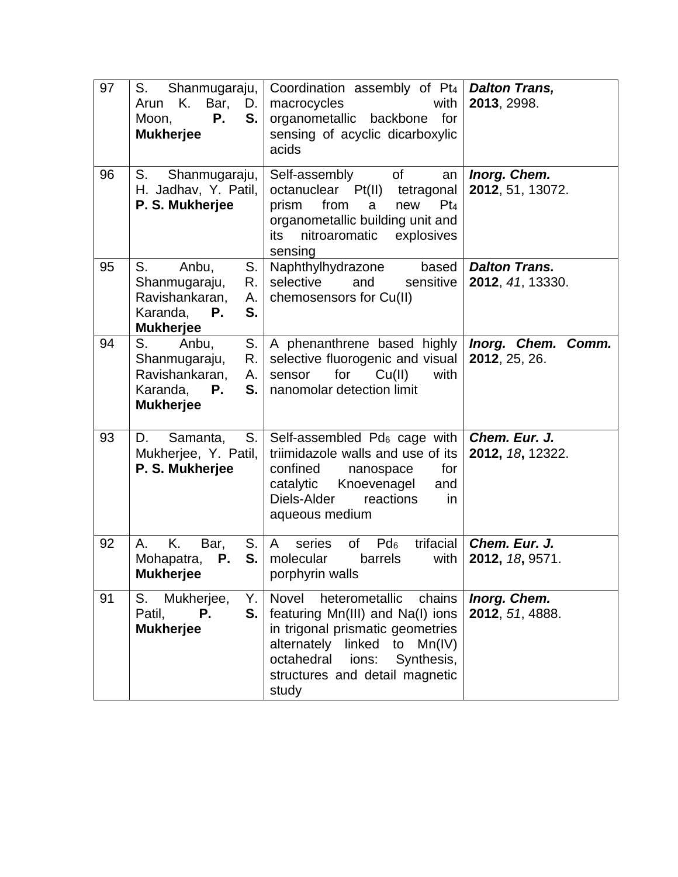| 97 | S.<br>Shanmugaraju,<br>K. Bar,<br>Arun<br>D.<br>Р.<br>S.<br>Moon,<br><b>Mukherjee</b>                        | Coordination assembly of Pt <sub>4</sub>   Dalton Trans,<br>macrocycles<br>with<br>organometallic<br>backbone<br>for<br>sensing of acyclic dicarboxylic<br>acids                                                                          | 2013, 2998.                              |
|----|--------------------------------------------------------------------------------------------------------------|-------------------------------------------------------------------------------------------------------------------------------------------------------------------------------------------------------------------------------------------|------------------------------------------|
| 96 | S.<br>Shanmugaraju,<br>H. Jadhav, Y. Patil,<br>P. S. Mukherjee                                               | of<br>Self-assembly<br>an<br>octanuclear Pt(II) tetragonal<br>from<br>prism<br>a<br>new<br>$Pt_4$<br>organometallic building unit and<br>its<br>nitroaromatic explosives<br>sensing                                                       | Inorg. Chem.<br>2012, 51, 13072.         |
| 95 | S.<br>Anbu,<br>S.<br>R.<br>Shanmugaraju,<br>Ravishankaran,<br>А.<br>Karanda,<br>S.<br>Р.<br><b>Mukherjee</b> | based<br>Naphthylhydrazone<br>selective<br>and<br>sensitive<br>chemosensors for Cu(II)                                                                                                                                                    | <b>Dalton Trans.</b><br>2012, 41, 13330. |
| 94 | S.<br>S.<br>Anbu,<br>Shanmugaraju,<br>R.<br>Ravishankaran,<br>А.<br>Karanda,<br>Р.<br>S.<br><b>Mukherjee</b> | A phenanthrene based highly  <br>selective fluorogenic and visual<br>for<br>Cu(II)<br>with<br>sensor<br>nanomolar detection limit                                                                                                         | Inorg. Chem. Comm.<br>2012, 25, 26.      |
| 93 | S.<br>D.<br>Samanta,<br>Mukherjee, Y. Patil,<br>P. S. Mukherjee                                              | Self-assembled $Pd_6$ cage with<br>triimidazole walls and use of its<br>confined<br>for<br>nanospace<br>catalytic<br>Knoevenagel<br>and<br>Diels-Alder<br>reactions<br>in<br>aqueous medium                                               | Chem. Eur. J.<br>2012, 18, 12322.        |
| 92 | Κ.<br>S.<br>Α.<br>Bar,<br>Mohapatra,<br>S.<br>Р.<br>Mukherjee                                                | trifacial  <br>series<br>of<br>$Pd_6$<br>A –<br>molecular<br>barrels<br>with<br>porphyrin walls                                                                                                                                           | Chem. Eur. J.<br>2012, 18, 9571.         |
| 91 | S.<br>Mukherjee,<br>Υ.<br>S.<br>Р.<br>Patil,<br><b>Mukherjee</b>                                             | <b>Novel</b><br>heterometallic<br>chains<br>featuring Mn(III) and Na(I) ions<br>in trigonal prismatic geometries<br>alternately<br>linked<br>to<br>Mn(IV)<br>octahedral<br>Synthesis,<br>ions:<br>structures and detail magnetic<br>study | Inorg. Chem.<br>2012, 51, 4888.          |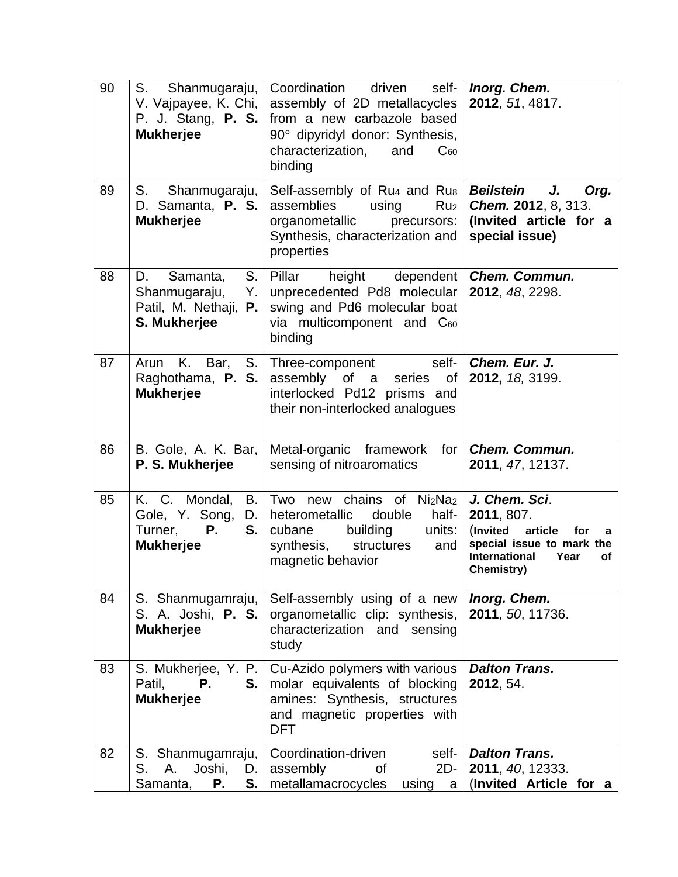| 90 | S.<br>Shanmugaraju,<br>V. Vajpayee, K. Chi,<br>P. J. Stang, <b>P. S.</b><br><b>Mukherjee</b> | Coordination<br>driven<br>self-<br>assembly of 2D metallacycles<br>from a new carbazole based<br>90° dipyridyl donor: Synthesis,<br>characterization,<br>and<br>$C_{60}$<br>binding    | Inorg. Chem.<br>2012, 51, 4817.                                                                                                                 |
|----|----------------------------------------------------------------------------------------------|----------------------------------------------------------------------------------------------------------------------------------------------------------------------------------------|-------------------------------------------------------------------------------------------------------------------------------------------------|
| 89 | $S_{1}$<br>Shanmugaraju,<br>D. Samanta, P. S.<br><b>Mukherjee</b>                            | Self-assembly of Ru <sub>4</sub> and Ru <sub>8</sub><br>assemblies<br>using<br>Ru <sub>2</sub><br>organometallic<br>precursors:<br>Synthesis, characterization and<br>properties       | J.<br><b>Beilstein</b><br>Org.<br><b>Chem. 2012, 8, 313.</b><br>(Invited article for a<br>special issue)                                        |
| 88 | S.<br>D.<br>Samanta,<br>Shanmugaraju,<br>Y. I<br>Patil, M. Nethaji,<br>Р.<br>S. Mukherjee    | height<br>Pillar<br>dependent<br>unprecedented Pd8 molecular<br>swing and Pd6 molecular boat<br>via multicomponent and C60<br>binding                                                  | <b>Chem. Commun.</b><br>2012, 48, 2298.                                                                                                         |
| 87 | S.<br>K. Bar,<br>Arun<br>Raghothama, P. S.<br><b>Mukherjee</b>                               | self-<br>Three-component<br>assembly of a<br>series<br>οf<br>interlocked Pd12 prisms and<br>their non-interlocked analogues                                                            | Chem. Eur. J.<br>2012, 18, 3199.                                                                                                                |
| 86 | B. Gole, A. K. Bar,<br>P. S. Mukherjee                                                       | Metal-organic framework<br>for<br>sensing of nitroaromatics                                                                                                                            | <b>Chem. Commun.</b><br>2011, 47, 12137.                                                                                                        |
| 85 | K. C. Mondal,<br>B.<br>Gole, Y. Song,<br>Turner,<br>Р.<br>S.<br><b>Mukherjee</b>             | chains of Ni <sub>2</sub> Na <sub>2</sub><br>Two new<br>D.   heterometallic<br>double<br>half-<br>building<br>units:<br>cubane<br>synthesis,<br>structures<br>and<br>magnetic behavior | J. Chem. Sci.<br>2011, 807.<br>article<br>(Invited<br>for<br>a<br>special issue to mark the<br><b>International</b><br>Year<br>оf<br>Chemistry) |
| 84 | S. Shanmugamraju,<br>S. A. Joshi, P. S.<br><b>Mukherjee</b>                                  | Self-assembly using of a new<br>organometallic clip: synthesis,<br>characterization and sensing<br>study                                                                               | Inorg. Chem.<br>2011, 50, 11736.                                                                                                                |
| 83 | S. Mukherjee, Y. P.<br>Р.<br>Patil,<br>S.<br><b>Mukherjee</b>                                | Cu-Azido polymers with various<br>molar equivalents of blocking<br>amines: Synthesis, structures<br>and magnetic properties with<br><b>DFT</b>                                         | <b>Dalton Trans.</b><br>2012, 54.                                                                                                               |
| 82 | S. Shanmugamraju,<br>Joshi,<br>S.<br>Α.<br>D.<br>S.<br>Samanta,<br>P.                        | Coordination-driven<br>self-<br>$2D -$<br>assembly<br>of<br>metallamacrocycles<br>using<br>a                                                                                           | <b>Dalton Trans.</b><br>2011, 40, 12333.<br>(Invited Article for a                                                                              |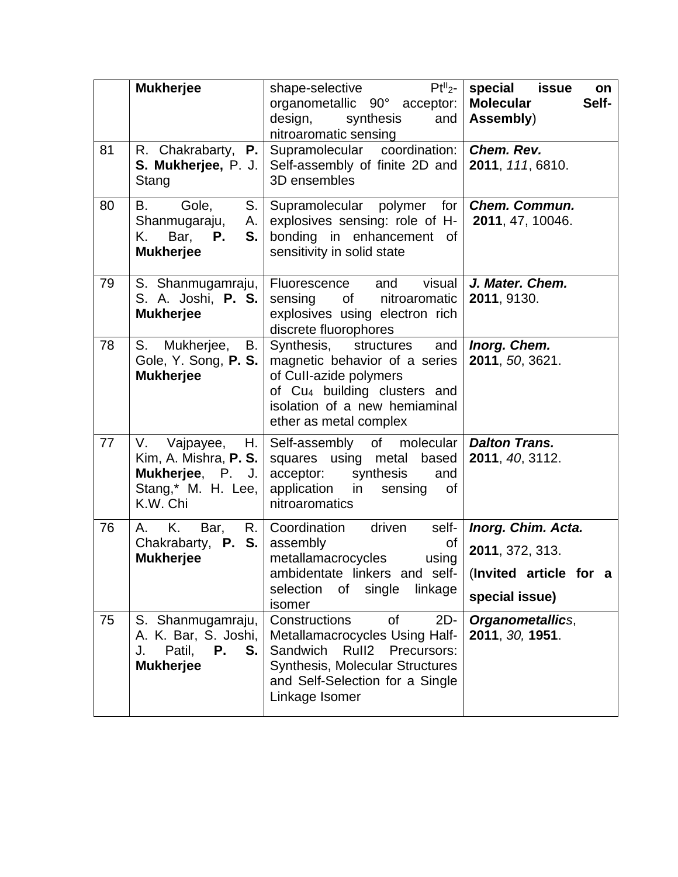|    | <b>Mukherjee</b>                                                                                      | $PtII2-$<br>shape-selective<br>organometallic 90° acceptor:<br>design,<br>synthesis<br>and<br>nitroaromatic sensing                                                                              | special issue<br>on<br><b>Molecular</b><br>Self-<br>Assembly) |
|----|-------------------------------------------------------------------------------------------------------|--------------------------------------------------------------------------------------------------------------------------------------------------------------------------------------------------|---------------------------------------------------------------|
| 81 | R. Chakrabarty,<br>P.<br>S. Mukherjee, P. J.<br>Stang                                                 | Supramolecular coordination: Chem. Rev.<br>Self-assembly of finite 2D and<br>3D ensembles                                                                                                        | 2011, 111, 6810.                                              |
| 80 | B.<br>Gole,<br>S.<br>Shanmugaraju,<br>K. .<br>Bar,<br>S.<br>Р.<br><b>Mukherjee</b>                    | Supramolecular polymer<br>for $\vert$<br>A. $\vert$ explosives sensing: role of H- $\vert$ 2011, 47, 10046.<br>bonding in enhancement of<br>sensitivity in solid state                           | <b>Chem. Commun.</b>                                          |
| 79 | S. Shanmugamraju,<br>S. A. Joshi, P. S.<br><b>Mukherjee</b>                                           | visual<br>Fluorescence and<br>of nitroaromatic<br>sensing<br>explosives using electron rich<br>discrete fluorophores                                                                             | J. Mater. Chem.<br>2011, 9130.                                |
| 78 | S. Mukherjee,<br>В.<br>Gole, Y. Song, P. S.<br><b>Mukherjee</b>                                       | Synthesis, structures<br>and<br>magnetic behavior of a series<br>of Cull-azide polymers<br>of Cu <sub>4</sub> building clusters and<br>isolation of a new hemiaminal<br>ether as metal complex   | Inorg. Chem.<br>2011, 50, 3621.                               |
| 77 | H.<br>V.<br>Vajpayee,<br>Kim, A. Mishra, $P.S.$<br>Mukherjee, P. J.<br>Stang,* M. H. Lee,<br>K.W. Chi | Self-assembly of molecular   Dalton Trans.<br>squares using metal based<br>acceptor: synthesis<br>and<br>application in<br>sensing<br>0f<br>nitroaromatics                                       | 2011, 40, 3112.                                               |
| 76 | K.<br>Bar,<br>A.<br>Chakrabarty, <b>P. S.</b><br><b>Mukherjee</b>                                     | R.   Coordination<br>driven<br>$self-$<br>assembly<br>οf<br>metallamacrocycles<br>using<br>ambidentate linkers and self-   (Invited article for a<br>of single<br>linkage<br>selection<br>isomer | Inorg. Chim. Acta.<br>2011, 372, 313.<br>special issue)       |
| 75 | S. Shanmugamraju,<br>A. K. Bar, S. Joshi,<br>Patil,<br>Р.<br>J.<br>S.<br><b>Mukherjee</b>             | Constructions<br>$2D-$<br>0f<br>Metallamacrocycles Using Half-<br>Sandwich<br>Rull2 Precursors:<br><b>Synthesis, Molecular Structures</b><br>and Self-Selection for a Single<br>Linkage Isomer   | <b>Organometallics,</b><br>2011, 30, 1951.                    |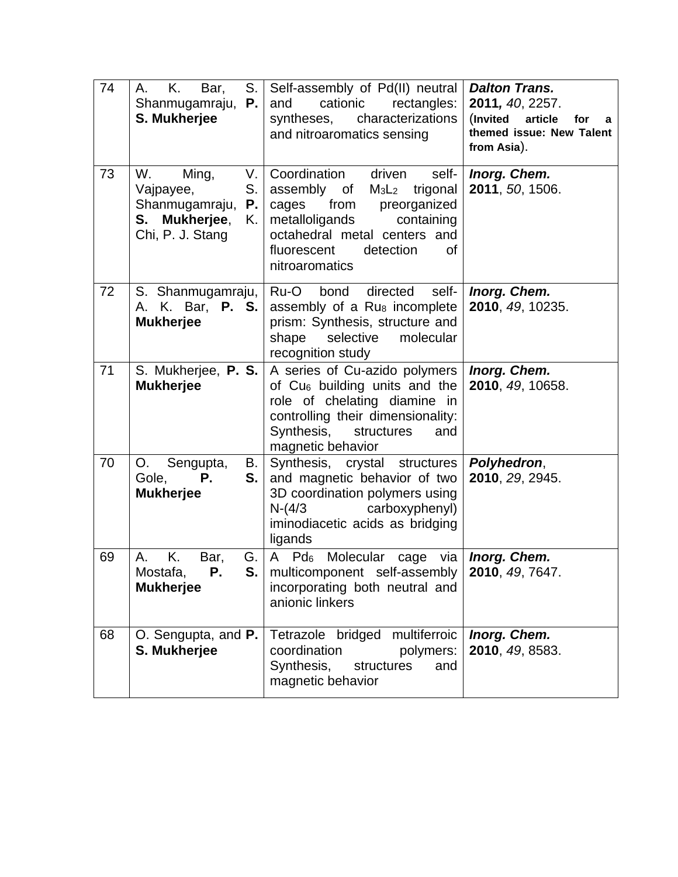| 74 | K.<br>Bar,<br>S.<br>A.<br>Shanmugamraju,<br>Р.<br>S. Mukherjee                                    | Self-assembly of Pd(II) neutral<br>and<br>cationic<br>rectangles:<br>syntheses,<br>characterizations<br>and nitroaromatics sensing                                                                                                           | <b>Dalton Trans.</b><br>2011, 40, 2257.<br>(Invited<br>article<br>for<br>a<br>themed issue: New Talent<br>from Asia). |
|----|---------------------------------------------------------------------------------------------------|----------------------------------------------------------------------------------------------------------------------------------------------------------------------------------------------------------------------------------------------|-----------------------------------------------------------------------------------------------------------------------|
| 73 | W.<br>Ming,<br>S.<br>Vajpayee,<br>Shanmugamraju,<br>P.<br>S. Mukherjee,<br>K.<br>Chi, P. J. Stang | V.   Coordination<br>driven<br>self-<br>assembly of<br>M <sub>3</sub> L <sub>2</sub> trigonal<br>cages from preorganized<br>containing<br>metalloligands<br>octahedral metal centers and<br>fluorescent<br>detection<br>οf<br>nitroaromatics | Inorg. Chem.<br>2011, 50, 1506.                                                                                       |
| 72 | S. Shanmugamraju,<br>A. K. Bar, <b>P. S.</b><br><b>Mukherjee</b>                                  | directed<br>Ru-O<br>self-<br>bond<br>assembly of a Ru <sub>8</sub> incomplete<br>prism: Synthesis, structure and<br>shape<br>selective<br>molecular<br>recognition study                                                                     | Inorg. Chem.<br>2010, 49, 10235.                                                                                      |
| 71 | S. Mukherjee, P. S.<br><b>Mukherjee</b>                                                           | A series of Cu-azido polymers<br>of Cu <sub>6</sub> building units and the<br>role of chelating diamine in<br>controlling their dimensionality:<br>Synthesis,<br>structures<br>and<br>magnetic behavior                                      | Inorg. Chem.<br>2010, 49, 10658.                                                                                      |
| 70 | Sengupta,<br>O.<br>В.<br>Gole,<br>S.<br>Р.<br><b>Mukherjee</b>                                    | Synthesis, crystal structures<br>and magnetic behavior of two<br>3D coordination polymers using<br>carboxyphenyl)<br>$N-(4/3)$<br>iminodiacetic acids as bridging<br>ligands                                                                 | Polyhedron,<br>2010, 29, 2945.                                                                                        |
| 69 | Κ.<br>А.<br>Bar,<br>G.<br>S.<br>Mostafa,<br>Р.<br><b>Mukherjee</b>                                | A Pd6 Molecular cage via   Inorg. Chem.<br>multicomponent self-assembly   2010, 49, 7647.<br>incorporating both neutral and<br>anionic linkers                                                                                               |                                                                                                                       |
| 68 | O. Sengupta, and P.<br>S. Mukherjee                                                               | Tetrazole bridged multiferroic<br>coordination<br>polymers:<br>Synthesis,<br>structures<br>and<br>magnetic behavior                                                                                                                          | Inorg. Chem.<br>2010, 49, 8583.                                                                                       |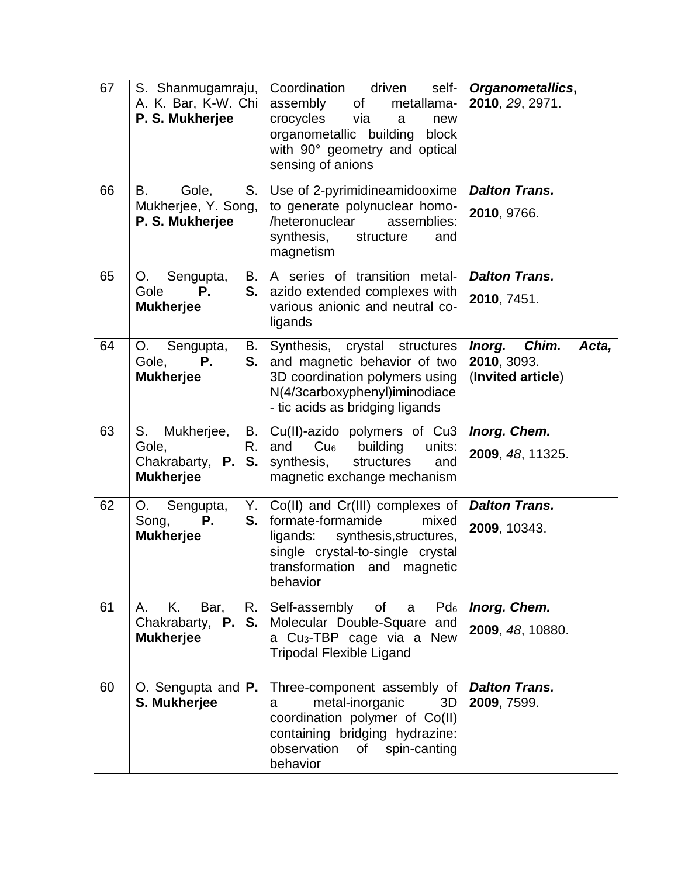| 67 | S. Shanmugamraju,<br>A. K. Bar, K-W. Chi<br>P. S. Mukherjee                     | Coordination<br>driven<br>self-<br>assembly<br>of<br>metallama-<br>crocycles<br>via<br>new<br>a<br>organometallic building<br>block<br>with 90° geometry and optical<br>sensing of anions | Organometallics,<br>2010, 29, 2971.                          |
|----|---------------------------------------------------------------------------------|-------------------------------------------------------------------------------------------------------------------------------------------------------------------------------------------|--------------------------------------------------------------|
| 66 | Gole,<br>B.<br>S.<br>Mukherjee, Y. Song,<br>P. S. Mukherjee                     | Use of 2-pyrimidineamidooxime<br>to generate polynuclear homo-<br>heteronuclear<br>assemblies:<br>synthesis,<br>structure<br>and<br>magnetism                                             | <b>Dalton Trans.</b><br>2010, 9766.                          |
| 65 | O.<br>Sengupta,<br>В.<br>Gole<br>Р.<br>S.<br><b>Mukherjee</b>                   | A series of transition metal-<br>azido extended complexes with<br>various anionic and neutral co-<br>ligands                                                                              | <b>Dalton Trans.</b><br>2010, 7451.                          |
| 64 | Sengupta,<br>O.<br>В.<br>Gole,<br>Р.<br>S.<br><b>Mukherjee</b>                  | Synthesis,<br>crystal<br>structures<br>and magnetic behavior of two<br>3D coordination polymers using<br>N(4/3carboxyphenyl)iminodiace<br>- tic acids as bridging ligands                 | Chim.<br>Inorg.<br>Acta,<br>2010, 3093.<br>(Invited article) |
| 63 | Mukherjee,<br>S.<br>В.<br>Gole,<br>R.<br>Chakrabarty, P. S.<br><b>Mukherjee</b> | Cu(II)-azido polymers of Cu3<br>and<br>Cu <sub>6</sub><br>building<br>units:<br>synthesis,<br>structures<br>and<br>magnetic exchange mechanism                                            | Inorg. Chem.<br>2009, 48, 11325.                             |
| 62 | Sengupta,<br>O.<br>Song,<br>Р.<br>S.<br><b>Mukherjee</b>                        | $Y.$ Co(II) and Cr(III) complexes of<br>formate-formamide<br>mixed<br>ligands: synthesis, structures,<br>single crystal-to-single crystal<br>transformation and magnetic<br>behavior      | <b>Dalton Trans.</b><br>2009, 10343.                         |
| 61 | Κ.<br>A.<br>Bar,<br>Chakrabarty, <b>P. S.</b><br><b>Mukherjee</b>               | R. Self-assembly of a<br>$Pd_6$<br>Molecular Double-Square and<br>a Cu <sub>3</sub> -TBP cage via a New<br><b>Tripodal Flexible Ligand</b>                                                | Inorg. Chem.<br>2009, 48, 10880.                             |
| 60 | O. Sengupta and P.<br>S. Mukherjee                                              | Three-component assembly of<br>metal-inorganic<br>3D<br>a<br>coordination polymer of Co(II)<br>containing bridging hydrazine:<br>observation of<br>spin-canting<br>behavior               | <b>Dalton Trans.</b><br>2009, 7599.                          |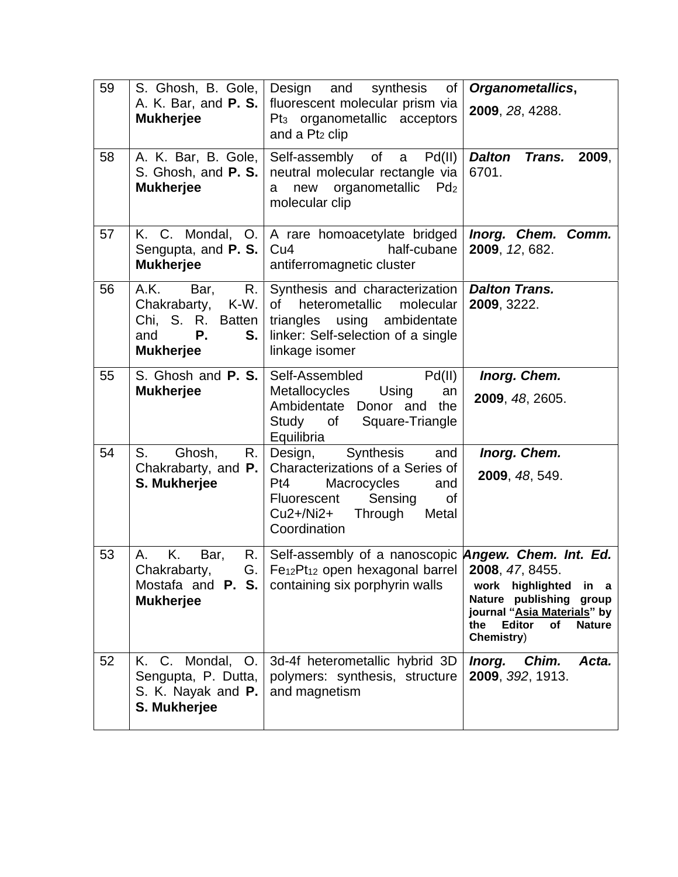| 59 | S. Ghosh, B. Gole,<br>A. K. Bar, and <b>P. S.</b><br><b>Mukherjee</b>                               | Design and<br>synthesis<br>of<br>fluorescent molecular prism via<br>Pt <sub>3</sub> organometallic acceptors<br>and a Pt <sub>2</sub> clip                                                          | Organometallics,<br>2009, 28, 4288.                                                                                                                |
|----|-----------------------------------------------------------------------------------------------------|-----------------------------------------------------------------------------------------------------------------------------------------------------------------------------------------------------|----------------------------------------------------------------------------------------------------------------------------------------------------|
| 58 | A. K. Bar, B. Gole,<br>S. Ghosh, and P. S.<br><b>Mukherjee</b>                                      | Self-assembly of a Pd(II)<br>neutral molecular rectangle via<br>new organometallic<br>Pd <sub>2</sub><br>a<br>molecular clip                                                                        | <b>Dalton</b><br><b>Trans.</b><br>2009,<br>6701.                                                                                                   |
| 57 | Sengupta, and P. S.<br><b>Mukherjee</b>                                                             | K. C. Mondal, O.   A rare homoacetylate bridged  <br>Cu <sub>4</sub><br>half-cubane<br>antiferromagnetic cluster                                                                                    | Inorg. Chem. Comm.<br>2009, 12, 682.                                                                                                               |
| 56 | A.K.<br>R.<br>Bar,<br>Chakrabarty, K-W.<br>Chi, S. R. Batten<br>Р.<br>S.<br>and<br><b>Mukherjee</b> | Synthesis and characterization<br>heterometallic<br>molecular<br>0f<br>triangles using ambidentate<br>linker: Self-selection of a single<br>linkage isomer                                          | <b>Dalton Trans.</b><br>2009, 3222.                                                                                                                |
| 55 | S. Ghosh and P. S.<br><b>Mukherjee</b>                                                              | Self-Assembled<br>Pd(II)<br>Using<br><b>Metallocycles</b><br>an<br>Ambidentate Donor and<br>the<br>Study of Square-Triangle<br>Equilibria                                                           | Inorg. Chem.<br>2009, 48, 2605.                                                                                                                    |
| 54 | S.<br>Ghosh,<br>R.<br>Chakrabarty, and $P.$<br>S. Mukherjee                                         | Synthesis<br>Design,<br>and<br>Characterizations of a Series of<br>Pt4<br>Macrocycles<br>and<br>Fluorescent Sensing<br>0f<br>$Cu2 + /Ni2 +$<br>Through<br>Metal<br>Coordination                     | Inorg. Chem.<br>2009, 48, 549.                                                                                                                     |
| 53 | Κ.<br>Bar,<br>Α.<br>Chakrabarty,<br><b>Mukherjee</b>                                                | R. Self-assembly of a nanoscopic Angew. Chem. Int. Ed.<br>G.   Fe <sub>12</sub> Pt <sub>12</sub> open hexagonal barrel   2008, 47, 8455.<br>Mostafa and <b>P. S.</b> containing six porphyrin walls | work highlighted<br>in a<br>Nature publishing<br>group<br>journal "Asia Materials" by<br>the<br><b>Editor</b><br>of<br><b>Nature</b><br>Chemistry) |
| 52 | K. C. Mondal, O.<br>Sengupta, P. Dutta,<br>S. K. Nayak and P.<br>S. Mukherjee                       | 3d-4f heterometallic hybrid 3D<br>polymers: synthesis, structure<br>and magnetism                                                                                                                   | Chim.<br>Inorg.<br>Acta.<br>2009, 392, 1913.                                                                                                       |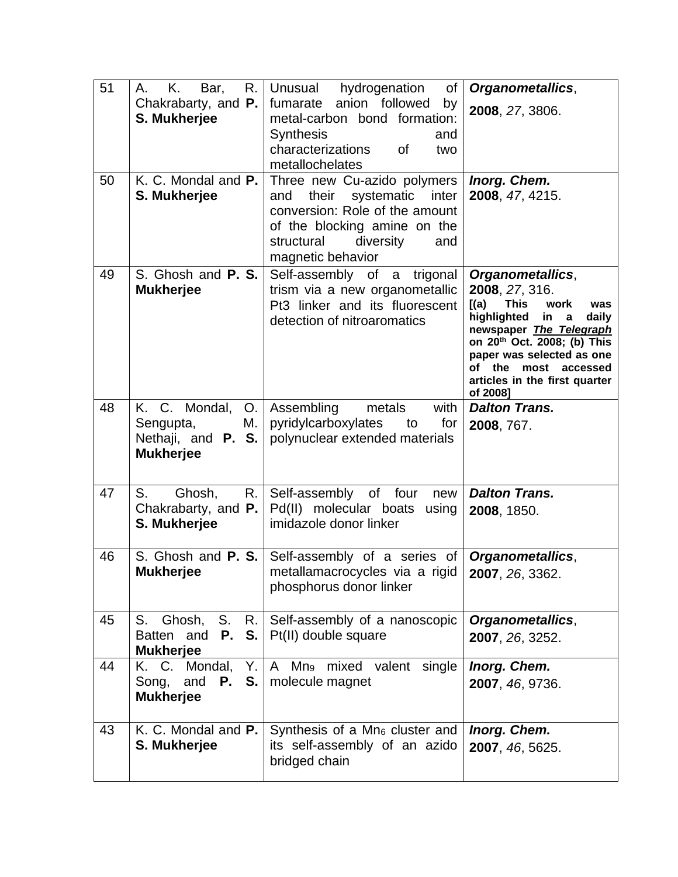| 51 | Κ.<br>Bar,<br>R.<br>Α.                                             | Unusual hydrogenation<br>of                                                                                                                                                           | Organometallics,                                                                                                                                                                                                                                                                   |
|----|--------------------------------------------------------------------|---------------------------------------------------------------------------------------------------------------------------------------------------------------------------------------|------------------------------------------------------------------------------------------------------------------------------------------------------------------------------------------------------------------------------------------------------------------------------------|
|    | Chakrabarty, and <b>P.</b><br>S. Mukherjee                         | fumarate anion followed<br>by<br>metal-carbon bond formation:<br><b>Synthesis</b><br>and<br>characterizations<br><b>of</b><br>two<br>metallochelates                                  | 2008, 27, 3806.                                                                                                                                                                                                                                                                    |
| 50 | K. C. Mondal and P.<br>S. Mukherjee                                | Three new Cu-azido polymers<br>their systematic inter<br>and<br>conversion: Role of the amount<br>of the blocking amine on the<br>structural<br>diversity<br>and<br>magnetic behavior | Inorg. Chem.<br>2008, 47, 4215.                                                                                                                                                                                                                                                    |
| 49 | S. Ghosh and P. S.<br><b>Mukherjee</b>                             | Self-assembly of a trigonal<br>trism via a new organometallic<br>Pt3 linker and its fluorescent<br>detection of nitroaromatics                                                        | Organometallics,<br>2008, 27, 316.<br><b>This</b><br>work<br>[(a)]<br>was<br>highlighted<br>in<br>daily<br>$\mathbf a$<br>newspaper The Telegraph<br>on 20th Oct. 2008; (b) This<br>paper was selected as one<br>of the most accessed<br>articles in the first quarter<br>of 20081 |
| 48 | K. C. Mondal, O. Assembling<br>Sengupta,<br>М.<br><b>Mukherjee</b> | metals<br>with  <br>pyridylcarboxylates to<br>for<br>Nethaji, and $P. S.$ polynuclear extended materials                                                                              | <b>Dalton Trans.</b><br>2008, 767.                                                                                                                                                                                                                                                 |
| 47 | S.<br>Ghosh,<br>R.<br>Chakrabarty, and $P.$<br>S. Mukherjee        | Self-assembly of four new<br>Pd(II) molecular boats using<br>imidazole donor linker                                                                                                   | <b>Dalton Trans.</b><br>2008, 1850.                                                                                                                                                                                                                                                |
| 46 | <b>Mukherjee</b>                                                   | S. Ghosh and P. S. Self-assembly of a series of <b>Organometallics</b> ,<br>metallamacrocycles via a rigid   2007, 26, 3362.<br>phosphorus donor linker                               |                                                                                                                                                                                                                                                                                    |
| 45 | Batten and <b>P. S.</b> $P(t I)$ double square<br><b>Mukherjee</b> | S. Ghosh, S. R. Self-assembly of a nanoscopic                                                                                                                                         | <b>Organometallics,</b><br>2007, 26, 3252.                                                                                                                                                                                                                                         |
| 44 | Song,<br><b>Mukherjee</b>                                          | K. C. Mondal, Y. $ A \text{ Mn}_9 \text{ mixed}$ valent single<br>and $P. S.  $ molecule magnet                                                                                       | Inorg. Chem.<br>2007, 46, 9736.                                                                                                                                                                                                                                                    |
| 43 | K. C. Mondal and P.<br>S. Mukherjee                                | Synthesis of a Mn <sub>6</sub> cluster and<br>its self-assembly of an azido<br>bridged chain                                                                                          | Inorg. Chem.<br>2007, 46, 5625.                                                                                                                                                                                                                                                    |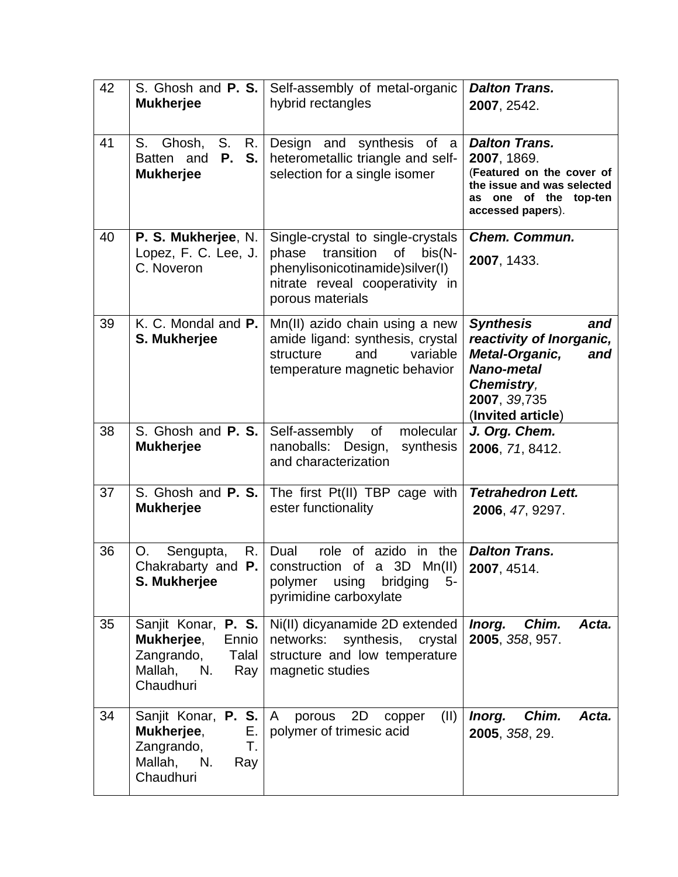| 42 | S. Ghosh and P. S.<br><b>Mukherjee</b>                                                                 | Self-assembly of metal-organic<br>hybrid rectangles                                                                                                                   | <b>Dalton Trans.</b><br>2007, 2542.                                                                                                                         |
|----|--------------------------------------------------------------------------------------------------------|-----------------------------------------------------------------------------------------------------------------------------------------------------------------------|-------------------------------------------------------------------------------------------------------------------------------------------------------------|
| 41 | S. Ghosh, S.<br>$R_{\cdot}$<br><b>P.</b><br>S.<br>Batten and<br><b>Mukherjee</b>                       | Design and synthesis of a<br>heterometallic triangle and self-<br>selection for a single isomer                                                                       | <b>Dalton Trans.</b><br>2007, 1869.<br>(Featured on the cover of<br>the issue and was selected<br>as one of the top-ten<br>accessed papers).                |
| 40 | P. S. Mukherjee, N.<br>Lopez, F. C. Lee, J.<br>C. Noveron                                              | Single-crystal to single-crystals<br>transition<br>$bis(N -$<br>phase<br>οf<br>phenylisonicotinamide)silver(I)<br>nitrate reveal cooperativity in<br>porous materials | <b>Chem. Commun.</b><br>2007, 1433.                                                                                                                         |
| 39 | K. C. Mondal and P.<br>S. Mukherjee                                                                    | Mn(II) azido chain using a new<br>amide ligand: synthesis, crystal<br>structure<br>variable<br>and<br>temperature magnetic behavior                                   | <b>Synthesis</b><br>and<br>reactivity of Inorganic,<br>Metal-Organic,<br>and<br><b>Nano-metal</b><br><b>Chemistry,</b><br>2007, 39,735<br>(Invited article) |
| 38 | S. Ghosh and P. S.<br><b>Mukherjee</b>                                                                 | Self-assembly<br>molecular<br>of<br>nanoballs: Design,<br>synthesis<br>and characterization                                                                           | J. Org. Chem.<br>2006, 71, 8412.                                                                                                                            |
| 37 | S. Ghosh and P. S.<br><b>Mukherjee</b>                                                                 | The first Pt(II) TBP cage with<br>ester functionality                                                                                                                 | <b>Tetrahedron Lett.</b><br>2006, 47, 9297.                                                                                                                 |
| 36 | Sengupta,<br>R.<br>O.<br>Chakrabarty and <b>P.</b><br>S. Mukherjee                                     | role of<br>azido in the<br>Dual<br>construction of<br>a 3D<br>Mn(II)<br>polymer using<br>bridging<br>5-<br>pyrimidine carboxylate                                     | <b>Dalton Trans.</b><br>2007, 4514.                                                                                                                         |
| 35 | Sanjit Konar, P. S.<br>Mukherjee,<br>Ennio<br>Zangrando,<br>Talal<br>Mallah,<br>N.<br>Ray<br>Chaudhuri | Ni(II) dicyanamide 2D extended<br>networks: synthesis, crystal<br>structure and low temperature<br>magnetic studies                                                   | Chim.<br>Inorg.<br>Acta.<br>2005, 358, 957.                                                                                                                 |
| 34 | Sanjit Konar, P. S.<br>Mukherjee,<br>Е.<br>Zangrando,<br>Т.<br>Mallah, N.<br>Ray<br>Chaudhuri          | 2D<br>(II)<br>$\mathsf{A}$<br>porous<br>copper<br>polymer of trimesic acid                                                                                            | Chim.<br>Acta.<br>Inorg.<br>2005, 358, 29.                                                                                                                  |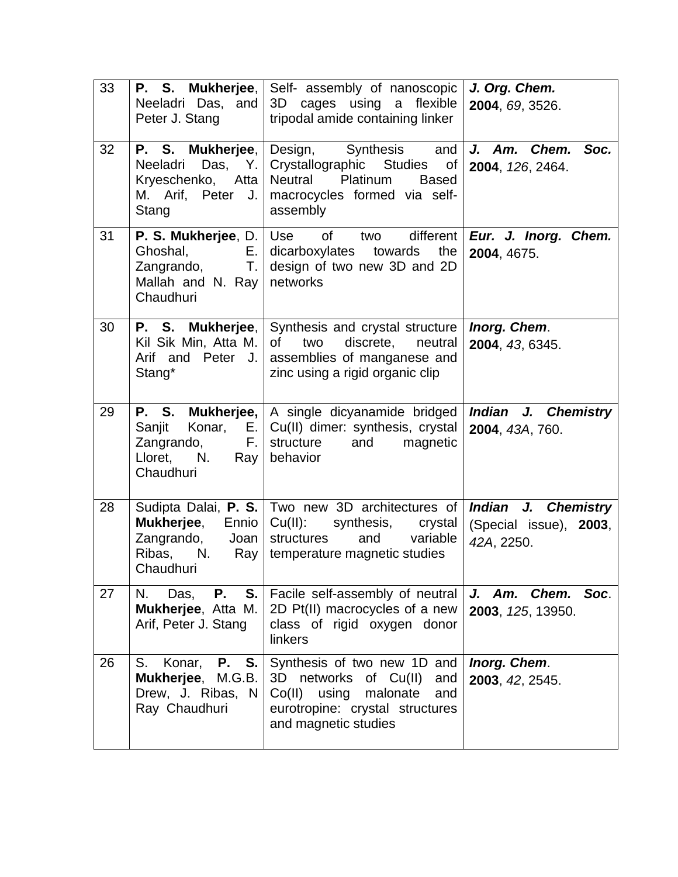| 33 | Neeladri Das, and<br>Peter J. Stang                                                   | <b>P.</b> S. Mukherjee, Self- assembly of nanoscopic<br>3D cages using a flexible<br>tripodal amide containing linker                                             | J. Org. Chem.<br>2004, 69, 3526.                                   |
|----|---------------------------------------------------------------------------------------|-------------------------------------------------------------------------------------------------------------------------------------------------------------------|--------------------------------------------------------------------|
| 32 | P. S. Mukherjee,<br>Neeladri<br>M. Arif, Peter J.<br>Stang                            | Design, Synthesis and<br>Das, Y. Crystallographic Studies<br>of<br>Kryeschenko, Atta Neutral Platinum<br><b>Based</b><br>macrocycles formed via self-<br>assembly | J. Am. Chem. Soc.<br>2004, 126, 2464.                              |
| 31 | Ghoshal,<br>Zangrando, T.<br>Mallah and N. Ray<br>Chaudhuri                           | <b>P. S. Mukherjee, D.</b> Use of two different<br>$E.$ dicarboxylates towards the<br>design of two new 3D and 2D<br>networks                                     | Eur. J. Inorg. Chem.<br>2004, 4675.                                |
| 30 | P. S. Mukherjee,<br>Kil Sik Min, Atta M.<br>Arif and Peter J.<br>Stang*               | Synthesis and crystal structure<br>two<br>discrete.<br>0f<br>neutral<br>assemblies of manganese and<br>zinc using a rigid organic clip                            | Inorg. Chem.<br>2004, 43, 6345.                                    |
| 29 | Zangrando,<br>Lloret, N. Ray<br>Chaudhuri                                             | <b>P.</b> S. Mukherjee, A single dicyanamide bridged<br>Sanjit Konar, E. Cu(II) dimer: synthesis, crystal<br>F. Structure<br>and<br>magnetic<br>behavior          | Indian J. Chemistry<br>2004, 43A, 760.                             |
| 28 | <b>Mukherjee,</b><br>Ennio<br>Zangrando, Joan<br>Ribas, N.<br>Ray<br>Chaudhuri        | Sudipta Dalai, P. S.   Two new 3D architectures of  <br>Cu(II): synthesis, crystal<br>structures<br>and variable<br>temperature magnetic studies                  | <b>Indian J. Chemistry</b><br>(Special issue), 2003,<br>42A, 2250. |
| 27 | <b>P.</b> S.<br>Das,<br>N.<br>Mukherjee, Atta M.<br>Arif, Peter J. Stang              | Facile self-assembly of neutral<br>2D Pt(II) macrocycles of a new<br>class of rigid oxygen donor<br>linkers                                                       | J. Am. Chem.<br>Soc.<br>2003, 125, 13950.                          |
| 26 | <b>P.</b> S.<br>S. Konar,<br>Mukherjee, M.G.B.<br>Drew, J. Ribas, N.<br>Ray Chaudhuri | Synthesis of two new 1D and<br>3D networks<br>of Cu(II)<br>and<br>Co(II) using<br>malonate<br>and<br>eurotropine: crystal structures<br>and magnetic studies      | Inorg. Chem.<br>2003, 42, 2545.                                    |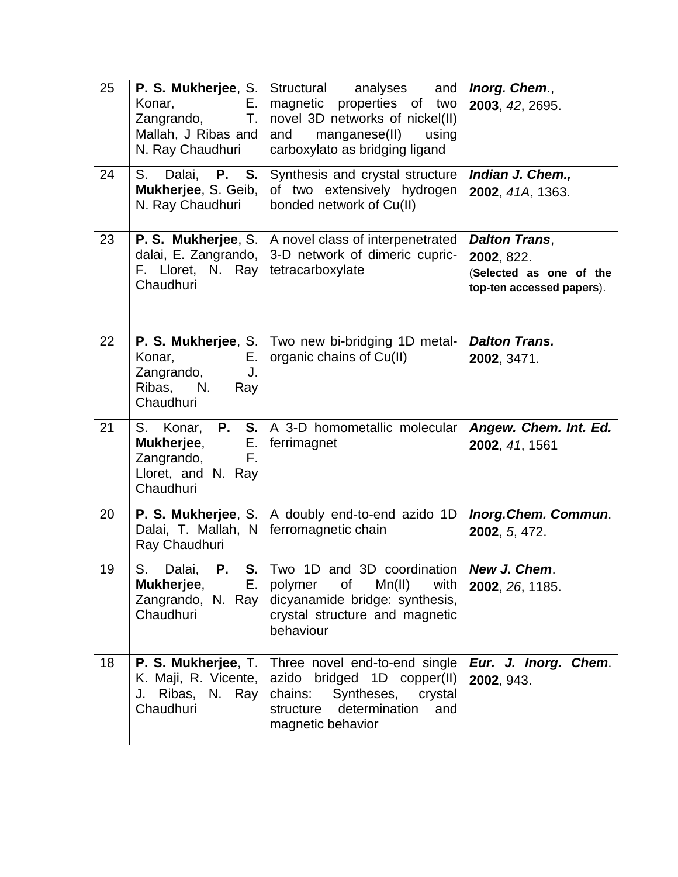| 25 | P. S. Mukherjee, S.<br>Konar,<br>Е.<br>Zangrando,<br>Т.<br>Mallah, J Ribas and<br>N. Ray Chaudhuri | Structural analyses<br>and<br>magnetic properties of two<br>novel 3D networks of nickel(II)<br>manganese(II) using<br>and<br>carboxylato as bridging ligand                           | Inorg. Chem.,<br>2003, 42, 2695.                                                           |
|----|----------------------------------------------------------------------------------------------------|---------------------------------------------------------------------------------------------------------------------------------------------------------------------------------------|--------------------------------------------------------------------------------------------|
| 24 | S. Dalai, <b>P. S.</b><br>Mukherjee, S. Geib,<br>N. Ray Chaudhuri                                  | Synthesis and crystal structure<br>of two extensively hydrogen<br>bonded network of Cu(II)                                                                                            | Indian J. Chem.,<br>2002, 41A, 1363.                                                       |
| 23 | P. S. Mukherjee, S.<br>dalai, E. Zangrando,<br>F. Lloret, N. Ray<br>Chaudhuri                      | A novel class of interpenetrated<br>3-D network of dimeric cupric-<br>tetracarboxylate                                                                                                | <b>Dalton Trans,</b><br>2002, 822.<br>(Selected as one of the<br>top-ten accessed papers). |
| 22 | Konar,<br>Е.<br>Zangrando,<br>J.<br>Ribas, N.<br>Ray<br>Chaudhuri                                  | P. S. Mukherjee, S.   Two new bi-bridging 1D metal-<br>organic chains of Cu(II)                                                                                                       | <b>Dalton Trans.</b><br>2002, 3471.                                                        |
| 21 | Mukherjee,<br>Zangrando,<br>F.<br>Lloret, and N. Ray<br>Chaudhuri                                  | S. Konar, <b>P. S.</b> A 3-D homometallic molecular<br>$E.$   ferrimagnet                                                                                                             | Angew. Chem. Int. Ed.<br>2002, 41, 1561                                                    |
| 20 | Dalai, T. Mallah, N<br>Ray Chaudhuri                                                               | P. S. Mukherjee, S.   A doubly end-to-end azido 1D<br>ferromagnetic chain                                                                                                             | Inorg.Chem. Commun.<br>2002, 5, 472.                                                       |
| 19 | S.<br>Dalai,<br>Ρ.<br>Mukherjee,<br>Zangrando, N. Ray<br>Chaudhuri                                 | S. Two 1D and 3D coordination   New J. Chem.<br>E. polymer<br>of<br>Mn(II)<br>with<br>dicyanamide bridge: synthesis,<br>crystal structure and magnetic<br>behaviour                   | 2002, 26, 1185.                                                                            |
| 18 | K. Maji, R. Vicente,<br>J. Ribas, N. Ray<br>Chaudhuri                                              | <b>P. S. Mukherjee, T.</b> Three novel end-to-end single<br>azido bridged 1D copper(II)<br>chains:<br>Syntheses,<br>crystal<br>determination<br>structure<br>and<br>magnetic behavior | Eur. J. Inorg. Chem.<br>2002, 943.                                                         |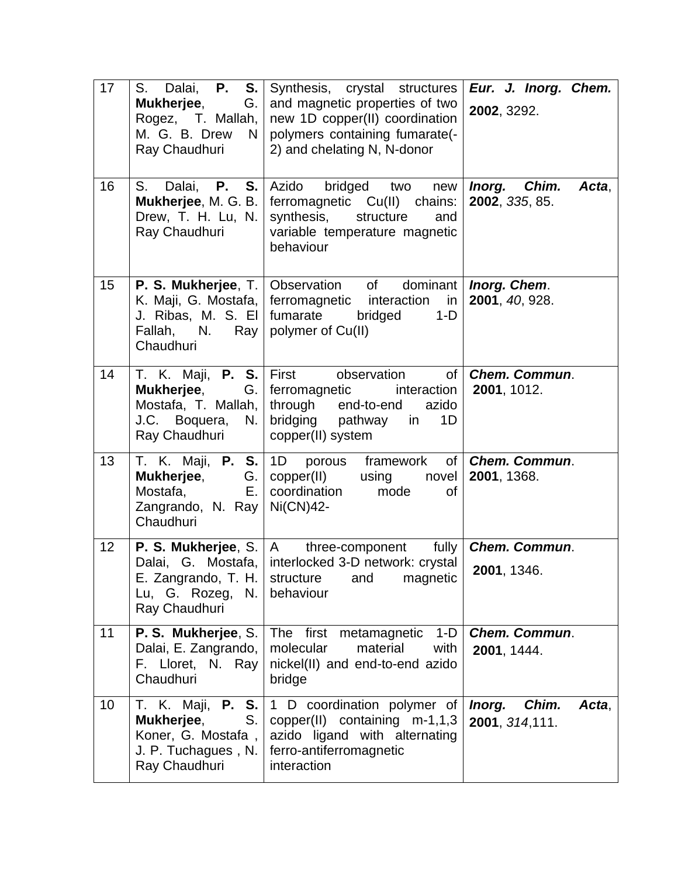| 17 | <b>P.</b><br>S. Dalai,<br>S.<br>Mukherjee,<br>G.<br>Rogez, T. Mallah,<br>M. G. B. Drew N<br>Ray Chaudhuri        | Synthesis, crystal structures<br>and magnetic properties of two<br>new 1D copper(II) coordination<br>polymers containing fumarate(-<br>2) and chelating N, N-donor                                   | Eur. J. Inorg. Chem.<br>2002, 3292.         |
|----|------------------------------------------------------------------------------------------------------------------|------------------------------------------------------------------------------------------------------------------------------------------------------------------------------------------------------|---------------------------------------------|
| 16 | S. Dalai, P. S.<br>Mukherjee, M. G. B.<br>Drew, T. H. Lu, N.<br>Ray Chaudhuri                                    | Azido<br>bridged two<br>new<br>ferromagnetic Cu(II) chains:<br>synthesis,<br>structure<br>and<br>variable temperature magnetic<br>behaviour                                                          | Inorg. Chim.<br>Acta,<br>2002, 335, 85.     |
| 15 | Fallah, N. Ray<br>Chaudhuri                                                                                      | <b>P. S. Mukherjee, T.   Observation</b> of dominant   <b>Inorg. Chem.</b><br>K. Maji, G. Mostafa, ferromagnetic interaction in<br>J. Ribas, M. S. El fumarate bridged<br>$1-D$<br>polymer of Cu(II) | 2001, 40, 928.                              |
| 14 | <b>Mukherjee,</b><br>Mostafa, T. Mallah,<br>J.C. Boquera, N.<br>Ray Chaudhuri                                    | T. K. Maji, P. S. First observation<br>of<br>G.   ferromagnetic<br>interaction<br>through end-to-end<br>azido<br>bridging pathway in<br>1D<br>copper(II) system                                      | <b>Chem. Commun.</b><br>2001, 1012.         |
| 13 | T. K. Maji, P. S. 1D porous<br><b>Mukherjee,</b><br>Mostafa,<br>Е.<br>Zangrando, N. Ray   Ni(CN)42-<br>Chaudhuri | framework<br>of<br>G.   copper(II)<br>using novel<br>coordination mode<br>Ωf                                                                                                                         | <b>Chem. Commun.</b><br>2001, 1368.         |
| 12 | <b>P. S. Mukherjee, S.   A</b><br>E. Zangrando, T. H.<br>Lu, G. Rozeg, N.<br>Ray Chaudhuri                       | fully<br>three-component<br>Dalai, G. Mostafa, interlocked 3-D network: crystal<br>structure<br>magnetic<br>and<br>behaviour                                                                         | <b>Chem. Commun.</b><br>2001, 1346.         |
| 11 | P. S. Mukherjee, S.<br>Dalai, E. Zangrando,<br>F. Lloret, N. Ray<br>Chaudhuri                                    | The first metamagnetic<br>$1-D$<br>molecular<br>material<br>with<br>nickel(II) and end-to-end azido<br>bridge                                                                                        | <b>Chem. Commun.</b><br>2001, 1444.         |
| 10 | T. K. Maji, <b>P. S.</b><br>Mukherjee,<br>S.<br>Koner, G. Mostafa,<br>J. P. Tuchagues, N.<br>Ray Chaudhuri       | 1 D coordination polymer of<br>copper(II) containing $m-1,1,3$<br>azido ligand with alternating<br>ferro-antiferromagnetic<br>interaction                                                            | Chim.<br>Inorg.<br>Acta.<br>2001, 314, 111. |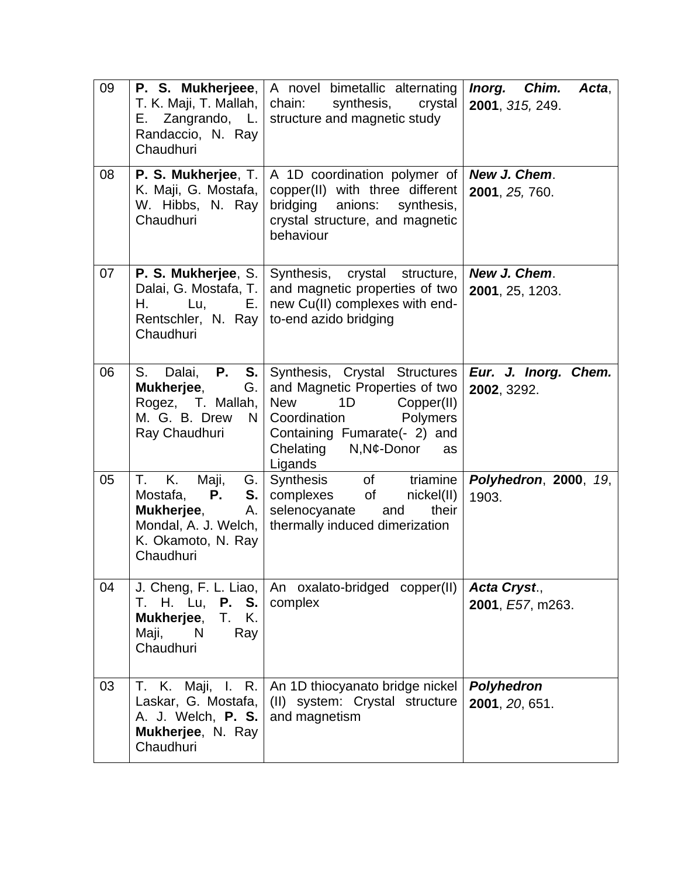| 09 | T. K. Maji, T. Mallah,<br>E. Zangrando, $L.$<br>Randaccio, N. Ray<br>Chaudhuri                                                       | <b>P. S. Mukherjeee,   A novel bimetallic alternating</b><br>synthesis,<br>crystal<br>chain:<br>structure and magnetic study                                                                            | Inorg. Chim.<br>Acta,<br>2001, 315, 249. |
|----|--------------------------------------------------------------------------------------------------------------------------------------|---------------------------------------------------------------------------------------------------------------------------------------------------------------------------------------------------------|------------------------------------------|
| 08 | P. S. Mukherjee, T.<br>K. Maji, G. Mostafa,<br>W. Hibbs, N. Ray<br>Chaudhuri                                                         | A 1D coordination polymer of<br>copper(II) with three different<br>bridging anions:<br>synthesis,<br>crystal structure, and magnetic<br>behaviour                                                       | New J. Chem.<br>2001, 25, 760.           |
| 07 | Dalai, G. Mostafa, T.  <br>Н.<br>E. I<br>Lu,<br>Rentschler, N. Ray<br>Chaudhuri                                                      | <b>P. S. Mukherjee, S.   Synthesis, crystal</b><br>structure,<br>and magnetic properties of two<br>new Cu(II) complexes with end-<br>to-end azido bridging                                              | New J. Chem.<br>2001, 25, 1203.          |
| 06 | <b>P.</b><br>S.<br>Dalai,<br>$S_{\cdot}$<br>Mukherjee,<br>G.<br>Rogez, T. Mallah,<br>M. G. B. Drew<br>N.<br>Ray Chaudhuri            | Synthesis, Crystal Structures<br>and Magnetic Properties of two<br>1D<br><b>New</b><br>Copper(II)<br>Polymers<br>Coordination<br>Containing Fumarate(- 2) and<br>Chelating N, N¢-Donor<br>as<br>Ligands | Eur. J. Inorg. Chem.<br>2002, 3292.      |
| 05 | T. K.<br>Maji,<br>G.<br>$P_{\cdot}$<br>S.<br>Mostafa,<br>Mukherjee,<br>А.<br>Mondal, A. J. Welch,<br>K. Okamoto, N. Ray<br>Chaudhuri | Synthesis of triamine<br>complexes of nickel(II)<br>selenocyanate<br>their<br>and<br>thermally induced dimerization                                                                                     | <b>Polyhedron, 2000, 19,</b><br>1903.    |
| 04 | T. H. Lu, <b>P. S.</b><br>Mukherjee,<br>T. K.<br>N<br>Maji,<br>Ray<br>Chaudhuri                                                      | J. Cheng, F. L. Liao,   An oxalato-bridged copper(II)<br>complex                                                                                                                                        | Acta Cryst.,<br>2001, E57, m263.         |
| 03 | T. K. Maji, I.<br>R.<br>Laskar, G. Mostafa,<br>A. J. Welch, <b>P. S.</b><br>Mukherjee, N. Ray<br>Chaudhuri                           | An 1D thiocyanato bridge nickel<br>(II) system: Crystal structure<br>and magnetism                                                                                                                      | Polyhedron<br>2001, 20, 651.             |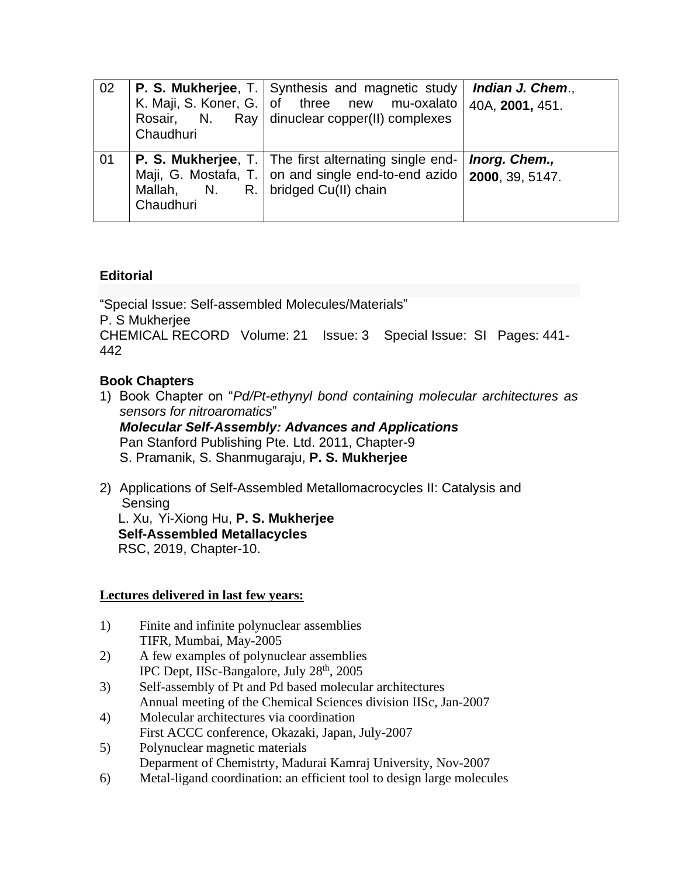| 02 | Chaudhuri                                         | <b>P. S. Mukherjee, T. Synthesis and magnetic study</b><br>K. Maji, S. Koner, G. of three new mu-oxalato<br>Rosair, N. Ray dinuclear copper(II) complexes | Indian J. Chem.,<br>40A, 2001, 451. |
|----|---------------------------------------------------|-----------------------------------------------------------------------------------------------------------------------------------------------------------|-------------------------------------|
| 01 | Mallah, N. R.   bridged Cu(II) chain<br>Chaudhuri | <b>P. S. Mukherjee, T.</b> The first alternating single end-<br>Maji, G. Mostafa, T.   on and single end-to-end azido   2000, 39, 5147.                   | Inorg. Chem.,                       |

# **Editorial**

["Special Issue: Self-assembled Molecules/Materials"](https://apps.webofknowledge.com/full_record.do?product=WOS&search_mode=GeneralSearch&qid=1&SID=E1sA19hLIxmRsVIY7Lk&page=1&doc=2) P. S Mukherjee [CHEMICAL RECORD](javascript:;) Volume: 21 Issue: 3 Special Issue: SI Pages: 441- 442

### **Book Chapters**

- 1) Book Chapter on "*Pd/Pt-ethynyl bond containing molecular architectures as sensors for nitroaromatics*" *Molecular Self-Assembly: Advances and Applications* Pan Stanford Publishing Pte. Ltd. 2011, Chapter-9 S. Pramanik, S. Shanmugaraju, **P. S. Mukherjee**
- 2) Applications of Self-Assembled Metallomacrocycles II: Catalysis and Sensing L. Xu, Yi-Xiong Hu, **P. S. Mukherjee Self-Assembled Metallacycles** RSC, 2019, Chapter-10.

### **Lectures delivered in last few years:**

- 1) Finite and infinite polynuclear assemblies TIFR, Mumbai, May-2005
- 2) A few examples of polynuclear assemblies IPC Dept, IISc-Bangalore, July 28<sup>th</sup>, 2005
- 3) Self-assembly of Pt and Pd based molecular architectures Annual meeting of the Chemical Sciences division IISc, Jan-2007
- 4) Molecular architectures via coordination First ACCC conference, Okazaki, Japan, July-2007
- 5) Polynuclear magnetic materials Deparment of Chemistrty, Madurai Kamraj University, Nov-2007
- 6) Metal-ligand coordination: an efficient tool to design large molecules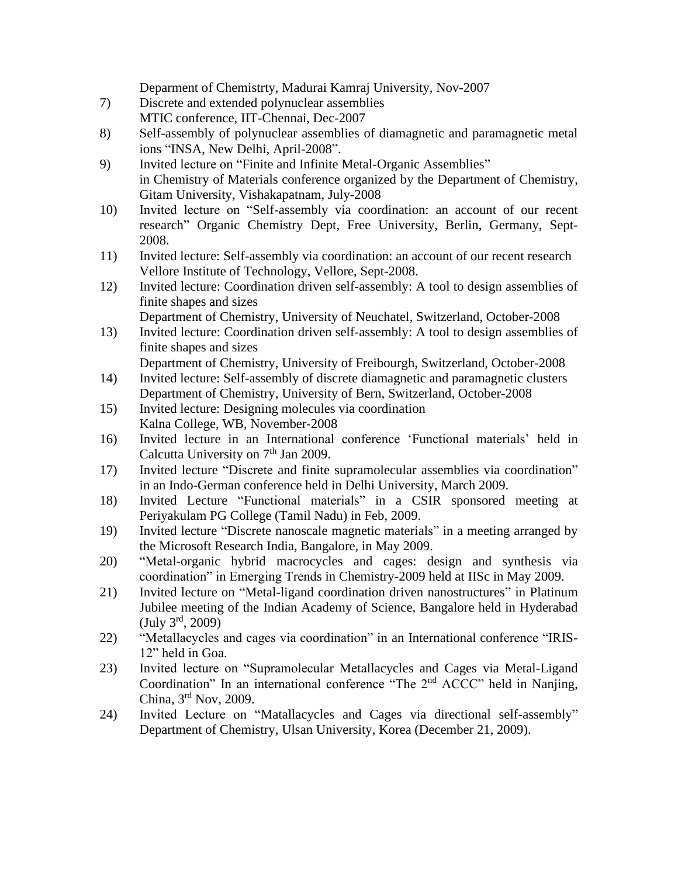Deparment of Chemistrty, Madurai Kamraj University, Nov-2007

- 7) Discrete and extended polynuclear assemblies MTIC conference, IIT-Chennai, Dec-2007
- 8) Self-assembly of polynuclear assemblies of diamagnetic and paramagnetic metal ions "INSA, New Delhi, April-2008".
- 9) Invited lecture on "Finite and Infinite Metal-Organic Assemblies" in Chemistry of Materials conference organized by the Department of Chemistry, Gitam University, Vishakapatnam, July-2008
- 10) Invited lecture on "Self-assembly via coordination: an account of our recent research" Organic Chemistry Dept, Free University, Berlin, Germany, Sept-2008.
- 11) Invited lecture: Self-assembly via coordination: an account of our recent research Vellore Institute of Technology, Vellore, Sept-2008.
- 12) Invited lecture: Coordination driven self-assembly: A tool to design assemblies of finite shapes and sizes
	- Department of Chemistry, University of Neuchatel, Switzerland, October-2008
- 13) Invited lecture: Coordination driven self-assembly: A tool to design assemblies of finite shapes and sizes

Department of Chemistry, University of Freibourgh, Switzerland, October-2008

- 14) Invited lecture: Self-assembly of discrete diamagnetic and paramagnetic clusters Department of Chemistry, University of Bern, Switzerland, October-2008
- 15) Invited lecture: Designing molecules via coordination Kalna College, WB, November-2008
- 16) Invited lecture in an International conference 'Functional materials' held in Calcutta University on 7<sup>th</sup> Jan 2009.
- 17) Invited lecture "Discrete and finite supramolecular assemblies via coordination" in an Indo-German conference held in Delhi University, March 2009.
- 18) Invited Lecture "Functional materials" in a CSIR sponsored meeting at Periyakulam PG College (Tamil Nadu) in Feb, 2009.
- 19) Invited lecture "Discrete nanoscale magnetic materials" in a meeting arranged by the Microsoft Research India, Bangalore, in May 2009.
- 20) "Metal-organic hybrid macrocycles and cages: design and synthesis via coordination" in Emerging Trends in Chemistry-2009 held at IISc in May 2009.
- 21) Invited lecture on "Metal-ligand coordination driven nanostructures" in Platinum Jubilee meeting of the Indian Academy of Science, Bangalore held in Hyderabad (July 3rd , 2009)
- 22) "Metallacycles and cages via coordination" in an International conference "IRIS-12" held in Goa.
- 23) Invited lecture on "Supramolecular Metallacycles and Cages via Metal-Ligand Coordination" In an international conference "The 2nd ACCC" held in Nanjing, China, 3rd Nov, 2009.
- 24) Invited Lecture on "Matallacycles and Cages via directional self-assembly" Department of Chemistry, Ulsan University, Korea (December 21, 2009).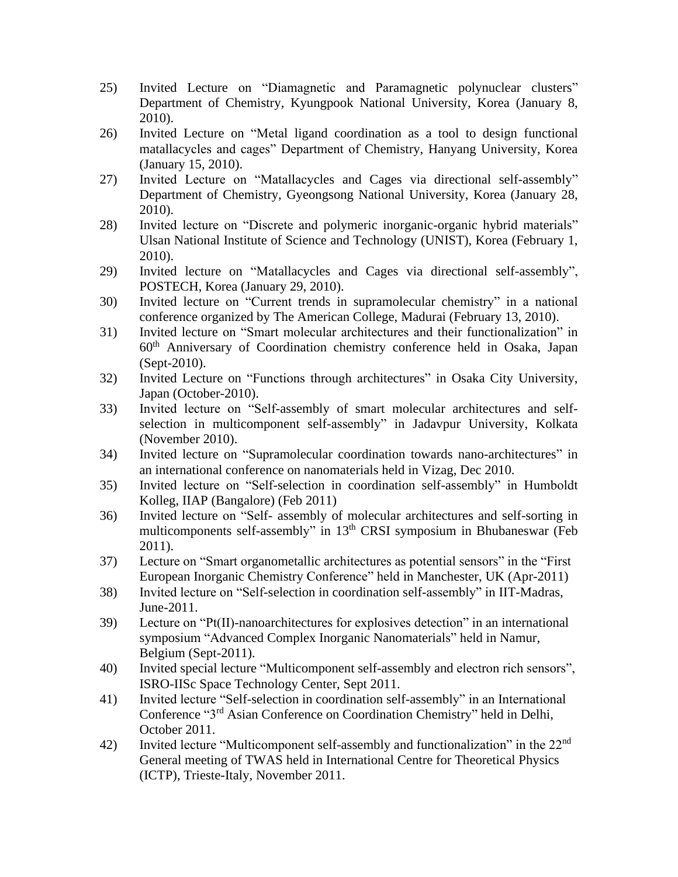- 25) Invited Lecture on "Diamagnetic and Paramagnetic polynuclear clusters" Department of Chemistry, Kyungpook National University, Korea (January 8, 2010).
- 26) Invited Lecture on "Metal ligand coordination as a tool to design functional matallacycles and cages" Department of Chemistry, Hanyang University, Korea (January 15, 2010).
- 27) Invited Lecture on "Matallacycles and Cages via directional self-assembly" Department of Chemistry, Gyeongsong National University, Korea (January 28, 2010).
- 28) Invited lecture on "Discrete and polymeric inorganic-organic hybrid materials" Ulsan National Institute of Science and Technology (UNIST), Korea (February 1, 2010).
- 29) Invited lecture on "Matallacycles and Cages via directional self-assembly", POSTECH, Korea (January 29, 2010).
- 30) Invited lecture on "Current trends in supramolecular chemistry" in a national conference organized by The American College, Madurai (February 13, 2010).
- 31) Invited lecture on "Smart molecular architectures and their functionalization" in 60th Anniversary of Coordination chemistry conference held in Osaka, Japan (Sept-2010).
- 32) Invited Lecture on "Functions through architectures" in Osaka City University, Japan (October-2010).
- 33) Invited lecture on "Self-assembly of smart molecular architectures and selfselection in multicomponent self-assembly" in Jadavpur University, Kolkata (November 2010).
- 34) Invited lecture on "Supramolecular coordination towards nano-architectures" in an international conference on nanomaterials held in Vizag, Dec 2010.
- 35) Invited lecture on "Self-selection in coordination self-assembly" in Humboldt Kolleg, IIAP (Bangalore) (Feb 2011)
- 36) Invited lecture on "Self- assembly of molecular architectures and self-sorting in multicomponents self-assembly" in 13<sup>th</sup> CRSI symposium in Bhubaneswar (Feb 2011).
- 37) Lecture on "Smart organometallic architectures as potential sensors" in the "First European Inorganic Chemistry Conference" held in Manchester, UK (Apr-2011)
- 38) Invited lecture on "Self-selection in coordination self-assembly" in IIT-Madras, June-2011.
- 39) Lecture on "Pt(II)-nanoarchitectures for explosives detection" in an international symposium "Advanced Complex Inorganic Nanomaterials" held in Namur, Belgium (Sept-2011).
- 40) Invited special lecture "Multicomponent self-assembly and electron rich sensors", ISRO-IISc Space Technology Center, Sept 2011.
- 41) Invited lecture "Self-selection in coordination self-assembly" in an International Conference "3rd Asian Conference on Coordination Chemistry" held in Delhi, October 2011.
- 42) Invited lecture "Multicomponent self-assembly and functionalization" in the 22<sup>nd</sup> General meeting of TWAS held in International Centre for Theoretical Physics (ICTP), Trieste-Italy, November 2011.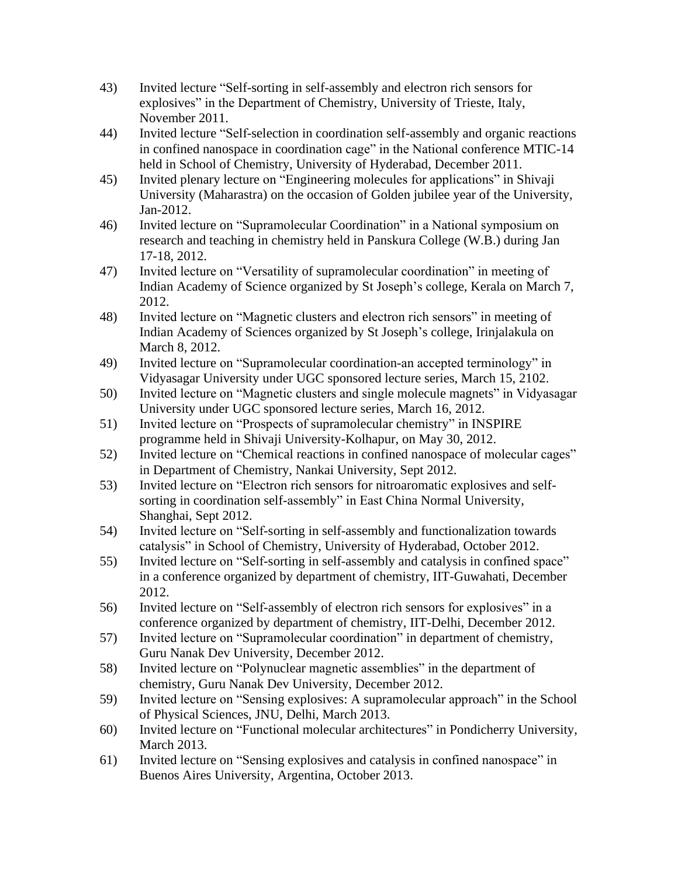- 43) Invited lecture "Self-sorting in self-assembly and electron rich sensors for explosives" in the Department of Chemistry, University of Trieste, Italy, November 2011.
- 44) Invited lecture "Self-selection in coordination self-assembly and organic reactions in confined nanospace in coordination cage" in the National conference MTIC-14 held in School of Chemistry, University of Hyderabad, December 2011.
- 45) Invited plenary lecture on "Engineering molecules for applications" in Shivaji University (Maharastra) on the occasion of Golden jubilee year of the University, Jan-2012.
- 46) Invited lecture on "Supramolecular Coordination" in a National symposium on research and teaching in chemistry held in Panskura College (W.B.) during Jan 17-18, 2012.
- 47) Invited lecture on "Versatility of supramolecular coordination" in meeting of Indian Academy of Science organized by St Joseph's college, Kerala on March 7, 2012.
- 48) Invited lecture on "Magnetic clusters and electron rich sensors" in meeting of Indian Academy of Sciences organized by St Joseph's college, Irinjalakula on March 8, 2012.
- 49) Invited lecture on "Supramolecular coordination-an accepted terminology" in Vidyasagar University under UGC sponsored lecture series, March 15, 2102.
- 50) Invited lecture on "Magnetic clusters and single molecule magnets" in Vidyasagar University under UGC sponsored lecture series, March 16, 2012.
- 51) Invited lecture on "Prospects of supramolecular chemistry" in INSPIRE programme held in Shivaji University-Kolhapur, on May 30, 2012.
- 52) Invited lecture on "Chemical reactions in confined nanospace of molecular cages" in Department of Chemistry, Nankai University, Sept 2012.
- 53) Invited lecture on "Electron rich sensors for nitroaromatic explosives and selfsorting in coordination self-assembly" in East China Normal University, Shanghai, Sept 2012.
- 54) Invited lecture on "Self-sorting in self-assembly and functionalization towards catalysis" in School of Chemistry, University of Hyderabad, October 2012.
- 55) Invited lecture on "Self-sorting in self-assembly and catalysis in confined space" in a conference organized by department of chemistry, IIT-Guwahati, December 2012.
- 56) Invited lecture on "Self-assembly of electron rich sensors for explosives" in a conference organized by department of chemistry, IIT-Delhi, December 2012.
- 57) Invited lecture on "Supramolecular coordination" in department of chemistry, Guru Nanak Dev University, December 2012.
- 58) Invited lecture on "Polynuclear magnetic assemblies" in the department of chemistry, Guru Nanak Dev University, December 2012.
- 59) Invited lecture on "Sensing explosives: A supramolecular approach" in the School of Physical Sciences, JNU, Delhi, March 2013.
- 60) Invited lecture on "Functional molecular architectures" in Pondicherry University, March 2013.
- 61) Invited lecture on "Sensing explosives and catalysis in confined nanospace" in Buenos Aires University, Argentina, October 2013.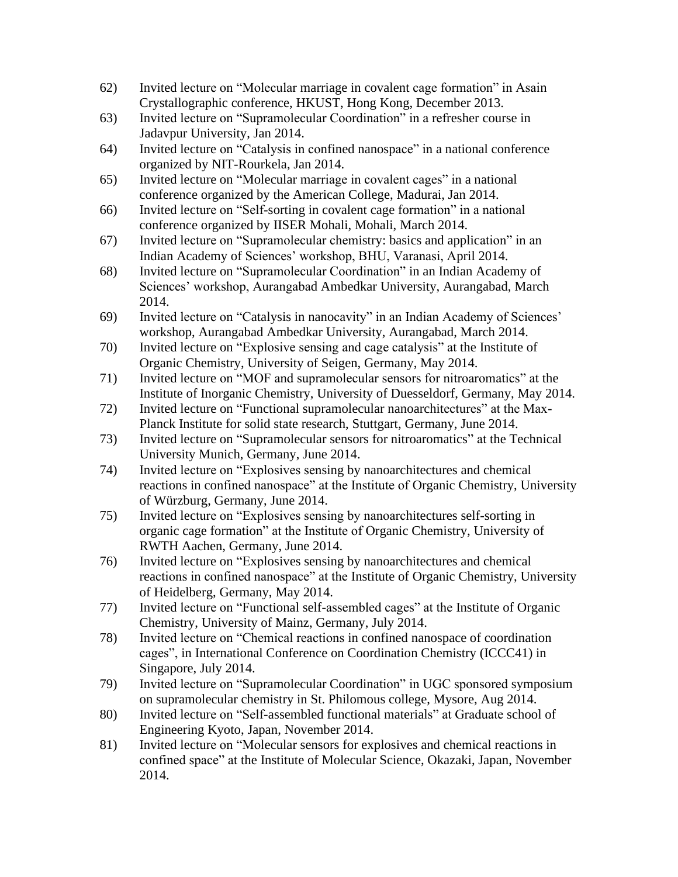- 62) Invited lecture on "Molecular marriage in covalent cage formation" in Asain Crystallographic conference, HKUST, Hong Kong, December 2013.
- 63) Invited lecture on "Supramolecular Coordination" in a refresher course in Jadavpur University, Jan 2014.
- 64) Invited lecture on "Catalysis in confined nanospace" in a national conference organized by NIT-Rourkela, Jan 2014.
- 65) Invited lecture on "Molecular marriage in covalent cages" in a national conference organized by the American College, Madurai, Jan 2014.
- 66) Invited lecture on "Self-sorting in covalent cage formation" in a national conference organized by IISER Mohali, Mohali, March 2014.
- 67) Invited lecture on "Supramolecular chemistry: basics and application" in an Indian Academy of Sciences' workshop, BHU, Varanasi, April 2014.
- 68) Invited lecture on "Supramolecular Coordination" in an Indian Academy of Sciences' workshop, Aurangabad Ambedkar University, Aurangabad, March 2014.
- 69) Invited lecture on "Catalysis in nanocavity" in an Indian Academy of Sciences' workshop, Aurangabad Ambedkar University, Aurangabad, March 2014.
- 70) Invited lecture on "Explosive sensing and cage catalysis" at the Institute of Organic Chemistry, University of Seigen, Germany, May 2014.
- 71) Invited lecture on "MOF and supramolecular sensors for nitroaromatics" at the Institute of Inorganic Chemistry, University of Duesseldorf, Germany, May 2014.
- 72) Invited lecture on "Functional supramolecular nanoarchitectures" at the Max-Planck Institute for solid state research, Stuttgart, Germany, June 2014.
- 73) Invited lecture on "Supramolecular sensors for nitroaromatics" at the Technical University Munich, Germany, June 2014.
- 74) Invited lecture on "Explosives sensing by nanoarchitectures and chemical reactions in confined nanospace" at the Institute of Organic Chemistry, University of Würzburg, Germany, June 2014.
- 75) Invited lecture on "Explosives sensing by nanoarchitectures self-sorting in organic cage formation" at the Institute of Organic Chemistry, University of RWTH Aachen, Germany, June 2014.
- 76) Invited lecture on "Explosives sensing by nanoarchitectures and chemical reactions in confined nanospace" at the Institute of Organic Chemistry, University of Heidelberg, Germany, May 2014.
- 77) Invited lecture on "Functional self-assembled cages" at the Institute of Organic Chemistry, University of Mainz, Germany, July 2014.
- 78) Invited lecture on "Chemical reactions in confined nanospace of coordination cages", in International Conference on Coordination Chemistry (ICCC41) in Singapore, July 2014.
- 79) Invited lecture on "Supramolecular Coordination" in UGC sponsored symposium on supramolecular chemistry in St. Philomous college, Mysore, Aug 2014.
- 80) Invited lecture on "Self-assembled functional materials" at Graduate school of Engineering Kyoto, Japan, November 2014.
- 81) Invited lecture on "Molecular sensors for explosives and chemical reactions in confined space" at the Institute of Molecular Science, Okazaki, Japan, November 2014.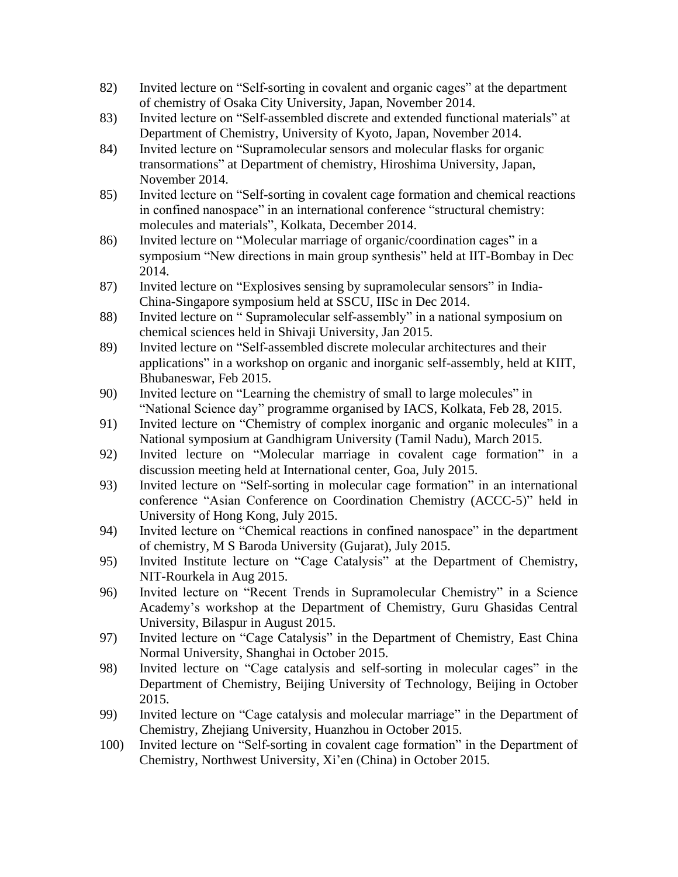- 82) Invited lecture on "Self-sorting in covalent and organic cages" at the department of chemistry of Osaka City University, Japan, November 2014.
- 83) Invited lecture on "Self-assembled discrete and extended functional materials" at Department of Chemistry, University of Kyoto, Japan, November 2014.
- 84) Invited lecture on "Supramolecular sensors and molecular flasks for organic transormations" at Department of chemistry, Hiroshima University, Japan, November 2014.
- 85) Invited lecture on "Self-sorting in covalent cage formation and chemical reactions in confined nanospace" in an international conference "structural chemistry: molecules and materials", Kolkata, December 2014.
- 86) Invited lecture on "Molecular marriage of organic/coordination cages" in a symposium "New directions in main group synthesis" held at IIT-Bombay in Dec 2014.
- 87) Invited lecture on "Explosives sensing by supramolecular sensors" in India-China-Singapore symposium held at SSCU, IISc in Dec 2014.
- 88) Invited lecture on " Supramolecular self-assembly" in a national symposium on chemical sciences held in Shivaji University, Jan 2015.
- 89) Invited lecture on "Self-assembled discrete molecular architectures and their applications" in a workshop on organic and inorganic self-assembly, held at KIIT, Bhubaneswar, Feb 2015.
- 90) Invited lecture on "Learning the chemistry of small to large molecules" in "National Science day" programme organised by IACS, Kolkata, Feb 28, 2015.
- 91) Invited lecture on "Chemistry of complex inorganic and organic molecules" in a National symposium at Gandhigram University (Tamil Nadu), March 2015.
- 92) Invited lecture on "Molecular marriage in covalent cage formation" in a discussion meeting held at International center, Goa, July 2015.
- 93) Invited lecture on "Self-sorting in molecular cage formation" in an international conference "Asian Conference on Coordination Chemistry (ACCC-5)" held in University of Hong Kong, July 2015.
- 94) Invited lecture on "Chemical reactions in confined nanospace" in the department of chemistry, M S Baroda University (Gujarat), July 2015.
- 95) Invited Institute lecture on "Cage Catalysis" at the Department of Chemistry, NIT-Rourkela in Aug 2015.
- 96) Invited lecture on "Recent Trends in Supramolecular Chemistry" in a Science Academy's workshop at the Department of Chemistry, Guru Ghasidas Central University, Bilaspur in August 2015.
- 97) Invited lecture on "Cage Catalysis" in the Department of Chemistry, East China Normal University, Shanghai in October 2015.
- 98) Invited lecture on "Cage catalysis and self-sorting in molecular cages" in the Department of Chemistry, Beijing University of Technology, Beijing in October 2015.
- 99) Invited lecture on "Cage catalysis and molecular marriage" in the Department of Chemistry, Zhejiang University, Huanzhou in October 2015.
- 100) Invited lecture on "Self-sorting in covalent cage formation" in the Department of Chemistry, Northwest University, Xi'en (China) in October 2015.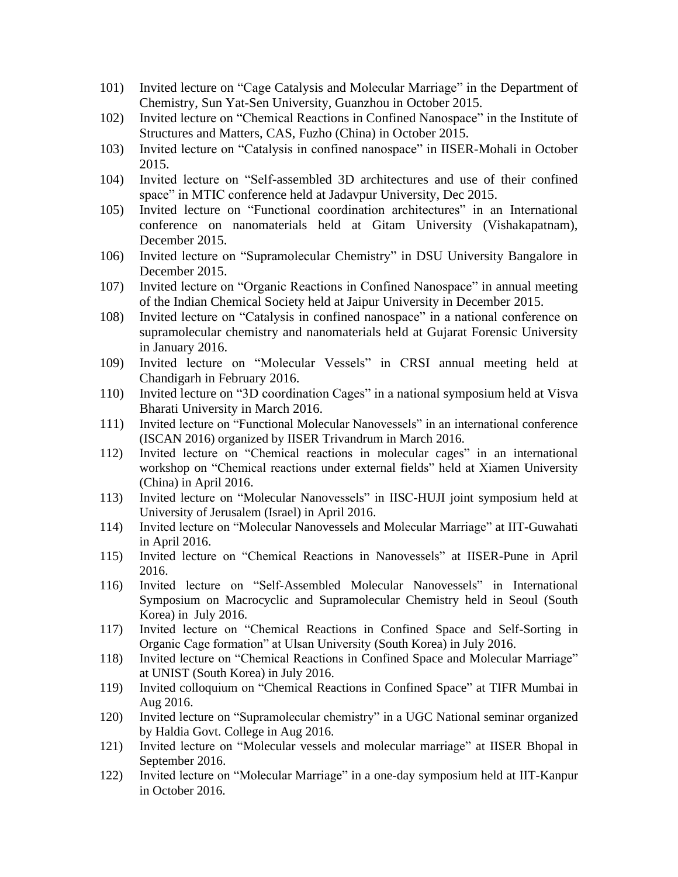- 101) Invited lecture on "Cage Catalysis and Molecular Marriage" in the Department of Chemistry, Sun Yat-Sen University, Guanzhou in October 2015.
- 102) Invited lecture on "Chemical Reactions in Confined Nanospace" in the Institute of Structures and Matters, CAS, Fuzho (China) in October 2015.
- 103) Invited lecture on "Catalysis in confined nanospace" in IISER-Mohali in October 2015.
- 104) Invited lecture on "Self-assembled 3D architectures and use of their confined space" in MTIC conference held at Jadavpur University, Dec 2015.
- 105) Invited lecture on "Functional coordination architectures" in an International conference on nanomaterials held at Gitam University (Vishakapatnam), December 2015.
- 106) Invited lecture on "Supramolecular Chemistry" in DSU University Bangalore in December 2015.
- 107) Invited lecture on "Organic Reactions in Confined Nanospace" in annual meeting of the Indian Chemical Society held at Jaipur University in December 2015.
- 108) Invited lecture on "Catalysis in confined nanospace" in a national conference on supramolecular chemistry and nanomaterials held at Gujarat Forensic University in January 2016.
- 109) Invited lecture on "Molecular Vessels" in CRSI annual meeting held at Chandigarh in February 2016.
- 110) Invited lecture on "3D coordination Cages" in a national symposium held at Visva Bharati University in March 2016.
- 111) Invited lecture on "Functional Molecular Nanovessels" in an international conference (ISCAN 2016) organized by IISER Trivandrum in March 2016.
- 112) Invited lecture on "Chemical reactions in molecular cages" in an international workshop on "Chemical reactions under external fields" held at Xiamen University (China) in April 2016.
- 113) Invited lecture on "Molecular Nanovessels" in IISC-HUJI joint symposium held at University of Jerusalem (Israel) in April 2016.
- 114) Invited lecture on "Molecular Nanovessels and Molecular Marriage" at IIT-Guwahati in April 2016.
- 115) Invited lecture on "Chemical Reactions in Nanovessels" at IISER-Pune in April 2016.
- 116) Invited lecture on "Self-Assembled Molecular Nanovessels" in International Symposium on Macrocyclic and Supramolecular Chemistry held in Seoul (South Korea) in July 2016.
- 117) Invited lecture on "Chemical Reactions in Confined Space and Self-Sorting in Organic Cage formation" at Ulsan University (South Korea) in July 2016.
- 118) Invited lecture on "Chemical Reactions in Confined Space and Molecular Marriage" at UNIST (South Korea) in July 2016.
- 119) Invited colloquium on "Chemical Reactions in Confined Space" at TIFR Mumbai in Aug 2016.
- 120) Invited lecture on "Supramolecular chemistry" in a UGC National seminar organized by Haldia Govt. College in Aug 2016.
- 121) Invited lecture on "Molecular vessels and molecular marriage" at IISER Bhopal in September 2016.
- 122) Invited lecture on "Molecular Marriage" in a one-day symposium held at IIT-Kanpur in October 2016.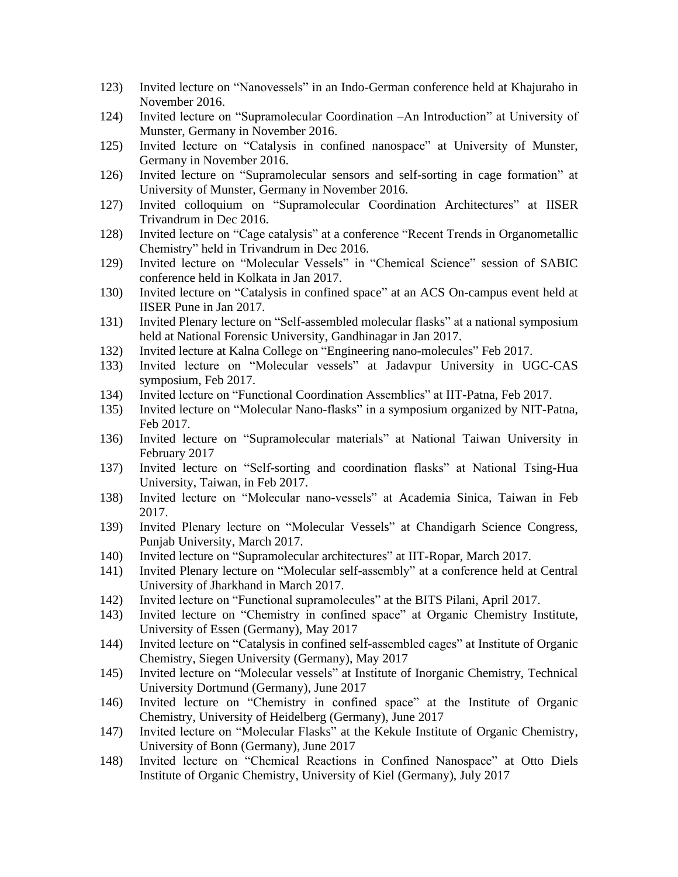- 123) Invited lecture on "Nanovessels" in an Indo-German conference held at Khajuraho in November 2016.
- 124) Invited lecture on "Supramolecular Coordination –An Introduction" at University of Munster, Germany in November 2016.
- 125) Invited lecture on "Catalysis in confined nanospace" at University of Munster, Germany in November 2016.
- 126) Invited lecture on "Supramolecular sensors and self-sorting in cage formation" at University of Munster, Germany in November 2016.
- 127) Invited colloquium on "Supramolecular Coordination Architectures" at IISER Trivandrum in Dec 2016.
- 128) Invited lecture on "Cage catalysis" at a conference "Recent Trends in Organometallic Chemistry" held in Trivandrum in Dec 2016.
- 129) Invited lecture on "Molecular Vessels" in "Chemical Science" session of SABIC conference held in Kolkata in Jan 2017.
- 130) Invited lecture on "Catalysis in confined space" at an ACS On-campus event held at IISER Pune in Jan 2017.
- 131) Invited Plenary lecture on "Self-assembled molecular flasks" at a national symposium held at National Forensic University, Gandhinagar in Jan 2017.
- 132) Invited lecture at Kalna College on "Engineering nano-molecules" Feb 2017.
- 133) Invited lecture on "Molecular vessels" at Jadavpur University in UGC-CAS symposium, Feb 2017.
- 134) Invited lecture on "Functional Coordination Assemblies" at IIT-Patna, Feb 2017.
- 135) Invited lecture on "Molecular Nano-flasks" in a symposium organized by NIT-Patna, Feb 2017.
- 136) Invited lecture on "Supramolecular materials" at National Taiwan University in February 2017
- 137) Invited lecture on "Self-sorting and coordination flasks" at National Tsing-Hua University, Taiwan, in Feb 2017.
- 138) Invited lecture on "Molecular nano-vessels" at Academia Sinica, Taiwan in Feb 2017.
- 139) Invited Plenary lecture on "Molecular Vessels" at Chandigarh Science Congress, Punjab University, March 2017.
- 140) Invited lecture on "Supramolecular architectures" at IIT-Ropar, March 2017.
- 141) Invited Plenary lecture on "Molecular self-assembly" at a conference held at Central University of Jharkhand in March 2017.
- 142) Invited lecture on "Functional supramolecules" at the BITS Pilani, April 2017.
- 143) Invited lecture on "Chemistry in confined space" at Organic Chemistry Institute, University of Essen (Germany), May 2017
- 144) Invited lecture on "Catalysis in confined self-assembled cages" at Institute of Organic Chemistry, Siegen University (Germany), May 2017
- 145) Invited lecture on "Molecular vessels" at Institute of Inorganic Chemistry, Technical University Dortmund (Germany), June 2017
- 146) Invited lecture on "Chemistry in confined space" at the Institute of Organic Chemistry, University of Heidelberg (Germany), June 2017
- 147) Invited lecture on "Molecular Flasks" at the Kekule Institute of Organic Chemistry, University of Bonn (Germany), June 2017
- 148) Invited lecture on "Chemical Reactions in Confined Nanospace" at Otto Diels Institute of Organic Chemistry, University of Kiel (Germany), July 2017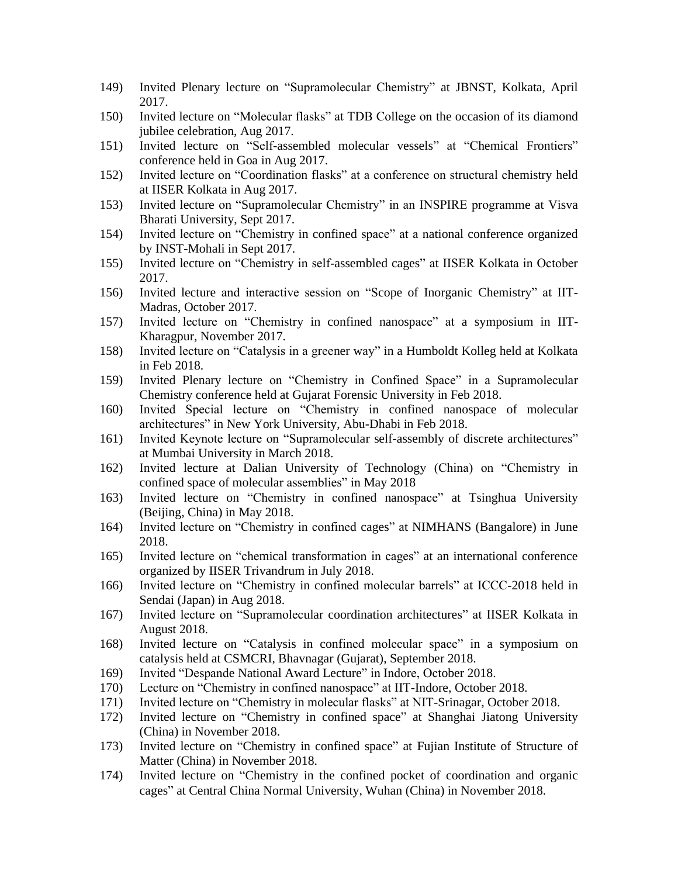- 149) Invited Plenary lecture on "Supramolecular Chemistry" at JBNST, Kolkata, April 2017.
- 150) Invited lecture on "Molecular flasks" at TDB College on the occasion of its diamond jubilee celebration, Aug 2017.
- 151) Invited lecture on "Self-assembled molecular vessels" at "Chemical Frontiers" conference held in Goa in Aug 2017.
- 152) Invited lecture on "Coordination flasks" at a conference on structural chemistry held at IISER Kolkata in Aug 2017.
- 153) Invited lecture on "Supramolecular Chemistry" in an INSPIRE programme at Visva Bharati University, Sept 2017.
- 154) Invited lecture on "Chemistry in confined space" at a national conference organized by INST-Mohali in Sept 2017.
- 155) Invited lecture on "Chemistry in self-assembled cages" at IISER Kolkata in October 2017.
- 156) Invited lecture and interactive session on "Scope of Inorganic Chemistry" at IIT-Madras, October 2017.
- 157) Invited lecture on "Chemistry in confined nanospace" at a symposium in IIT-Kharagpur, November 2017.
- 158) Invited lecture on "Catalysis in a greener way" in a Humboldt Kolleg held at Kolkata in Feb 2018.
- 159) Invited Plenary lecture on "Chemistry in Confined Space" in a Supramolecular Chemistry conference held at Gujarat Forensic University in Feb 2018.
- 160) Invited Special lecture on "Chemistry in confined nanospace of molecular architectures" in New York University, Abu-Dhabi in Feb 2018.
- 161) Invited Keynote lecture on "Supramolecular self-assembly of discrete architectures" at Mumbai University in March 2018.
- 162) Invited lecture at Dalian University of Technology (China) on "Chemistry in confined space of molecular assemblies" in May 2018
- 163) Invited lecture on "Chemistry in confined nanospace" at Tsinghua University (Beijing, China) in May 2018.
- 164) Invited lecture on "Chemistry in confined cages" at NIMHANS (Bangalore) in June 2018.
- 165) Invited lecture on "chemical transformation in cages" at an international conference organized by IISER Trivandrum in July 2018.
- 166) Invited lecture on "Chemistry in confined molecular barrels" at ICCC-2018 held in Sendai (Japan) in Aug 2018.
- 167) Invited lecture on "Supramolecular coordination architectures" at IISER Kolkata in August 2018.
- 168) Invited lecture on "Catalysis in confined molecular space" in a symposium on catalysis held at CSMCRI, Bhavnagar (Gujarat), September 2018.
- 169) Invited "Despande National Award Lecture" in Indore, October 2018.
- 170) Lecture on "Chemistry in confined nanospace" at IIT-Indore, October 2018.
- 171) Invited lecture on "Chemistry in molecular flasks" at NIT-Srinagar, October 2018.
- 172) Invited lecture on "Chemistry in confined space" at Shanghai Jiatong University (China) in November 2018.
- 173) Invited lecture on "Chemistry in confined space" at Fujian Institute of Structure of Matter (China) in November 2018.
- 174) Invited lecture on "Chemistry in the confined pocket of coordination and organic cages" at Central China Normal University, Wuhan (China) in November 2018.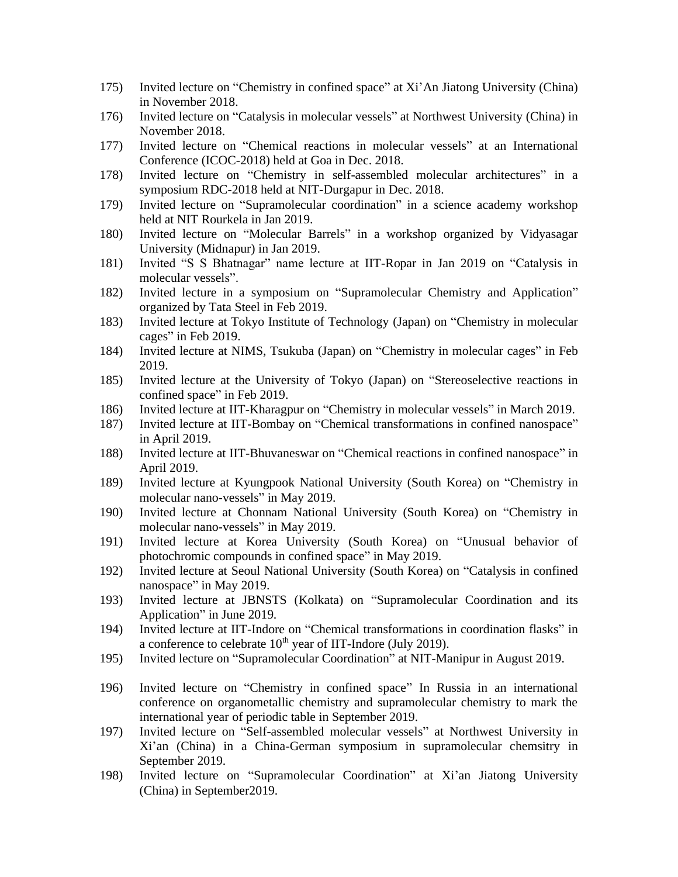- 175) Invited lecture on "Chemistry in confined space" at Xi'An Jiatong University (China) in November 2018.
- 176) Invited lecture on "Catalysis in molecular vessels" at Northwest University (China) in November 2018.
- 177) Invited lecture on "Chemical reactions in molecular vessels" at an International Conference (ICOC-2018) held at Goa in Dec. 2018.
- 178) Invited lecture on "Chemistry in self-assembled molecular architectures" in a symposium RDC-2018 held at NIT-Durgapur in Dec. 2018.
- 179) Invited lecture on "Supramolecular coordination" in a science academy workshop held at NIT Rourkela in Jan 2019.
- 180) Invited lecture on "Molecular Barrels" in a workshop organized by Vidyasagar University (Midnapur) in Jan 2019.
- 181) Invited "S S Bhatnagar" name lecture at IIT-Ropar in Jan 2019 on "Catalysis in molecular vessels".
- 182) Invited lecture in a symposium on "Supramolecular Chemistry and Application" organized by Tata Steel in Feb 2019.
- 183) Invited lecture at Tokyo Institute of Technology (Japan) on "Chemistry in molecular cages" in Feb 2019.
- 184) Invited lecture at NIMS, Tsukuba (Japan) on "Chemistry in molecular cages" in Feb 2019.
- 185) Invited lecture at the University of Tokyo (Japan) on "Stereoselective reactions in confined space" in Feb 2019.
- 186) Invited lecture at IIT-Kharagpur on "Chemistry in molecular vessels" in March 2019.
- 187) Invited lecture at IIT-Bombay on "Chemical transformations in confined nanospace" in April 2019.
- 188) Invited lecture at IIT-Bhuvaneswar on "Chemical reactions in confined nanospace" in April 2019.
- 189) Invited lecture at Kyungpook National University (South Korea) on "Chemistry in molecular nano-vessels" in May 2019.
- 190) Invited lecture at Chonnam National University (South Korea) on "Chemistry in molecular nano-vessels" in May 2019.
- 191) Invited lecture at Korea University (South Korea) on "Unusual behavior of photochromic compounds in confined space" in May 2019.
- 192) Invited lecture at Seoul National University (South Korea) on "Catalysis in confined nanospace" in May 2019.
- 193) Invited lecture at JBNSTS (Kolkata) on "Supramolecular Coordination and its Application" in June 2019.
- 194) Invited lecture at IIT-Indore on "Chemical transformations in coordination flasks" in a conference to celebrate  $10^{th}$  year of IIT-Indore (July 2019).
- 195) Invited lecture on "Supramolecular Coordination" at NIT-Manipur in August 2019.
- 196) Invited lecture on "Chemistry in confined space" In Russia in an international conference on organometallic chemistry and supramolecular chemistry to mark the international year of periodic table in September 2019.
- 197) Invited lecture on "Self-assembled molecular vessels" at Northwest University in Xi'an (China) in a China-German symposium in supramolecular chemsitry in September 2019.
- 198) Invited lecture on "Supramolecular Coordination" at Xi'an Jiatong University (China) in September2019.